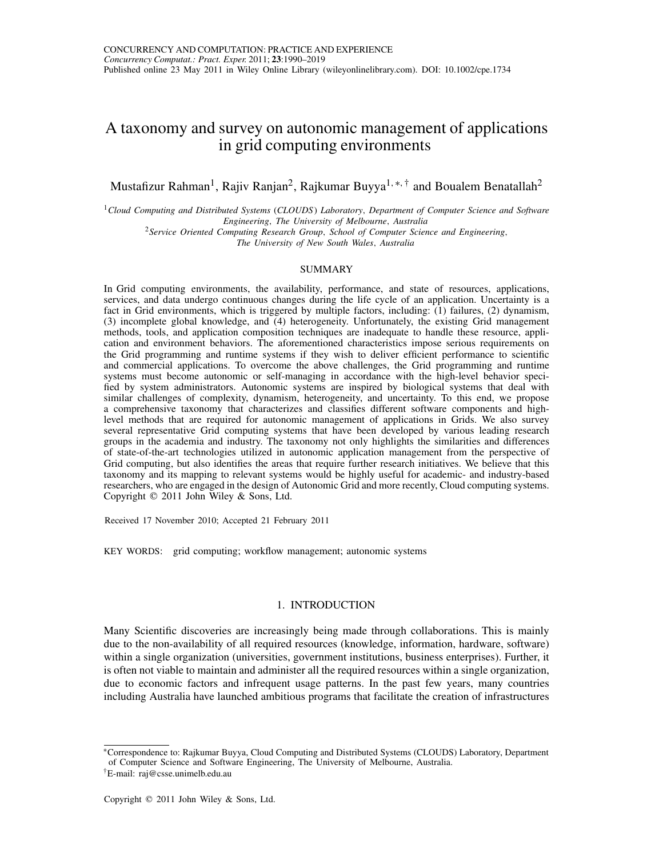# A taxonomy and survey on autonomic management of applications in grid computing environments

Mustafizur Rahman1, Rajiv Ranjan2, Rajkumar Buyya1*,*∗*,*† and Boualem Benatallah<sup>2</sup>

<sup>1</sup>*Cloud Computing and Distributed Systems* (*CLOUDS*) *Laboratory, Department of Computer Science and Software Engineering, The University of Melbourne, Australia* <sup>2</sup>*Service Oriented Computing Research Group, School of Computer Science and Engineering,*

*The University of New South Wales, Australia*

#### SUMMARY

In Grid computing environments, the availability, performance, and state of resources, applications, services, and data undergo continuous changes during the life cycle of an application. Uncertainty is a fact in Grid environments, which is triggered by multiple factors, including: (1) failures, (2) dynamism, (3) incomplete global knowledge, and (4) heterogeneity. Unfortunately, the existing Grid management methods, tools, and application composition techniques are inadequate to handle these resource, application and environment behaviors. The aforementioned characteristics impose serious requirements on the Grid programming and runtime systems if they wish to deliver efficient performance to scientific and commercial applications. To overcome the above challenges, the Grid programming and runtime systems must become autonomic or self-managing in accordance with the high-level behavior specified by system administrators. Autonomic systems are inspired by biological systems that deal with similar challenges of complexity, dynamism, heterogeneity, and uncertainty. To this end, we propose a comprehensive taxonomy that characterizes and classifies different software components and highlevel methods that are required for autonomic management of applications in Grids. We also survey several representative Grid computing systems that have been developed by various leading research groups in the academia and industry. The taxonomy not only highlights the similarities and differences of state-of-the-art technologies utilized in autonomic application management from the perspective of Grid computing, but also identifies the areas that require further research initiatives. We believe that this taxonomy and its mapping to relevant systems would be highly useful for academic- and industry-based researchers, who are engaged in the design of Autonomic Grid and more recently, Cloud computing systems. Copyright © 2011 John Wiley & Sons, Ltd.

Received 17 November 2010; Accepted 21 February 2011

KEY WORDS: grid computing; workflow management; autonomic systems

### 1. INTRODUCTION

Many Scientific discoveries are increasingly being made through collaborations. This is mainly due to the non-availability of all required resources (knowledge, information, hardware, software) within a single organization (universities, government institutions, business enterprises). Further, it is often not viable to maintain and administer all the required resources within a single organization, due to economic factors and infrequent usage patterns. In the past few years, many countries including Australia have launched ambitious programs that facilitate the creation of infrastructures

<sup>∗</sup>Correspondence to: Rajkumar Buyya, Cloud Computing and Distributed Systems (CLOUDS) Laboratory, Department of Computer Science and Software Engineering, The University of Melbourne, Australia.

<sup>†</sup>E-mail: raj@csse.unimelb.edu.au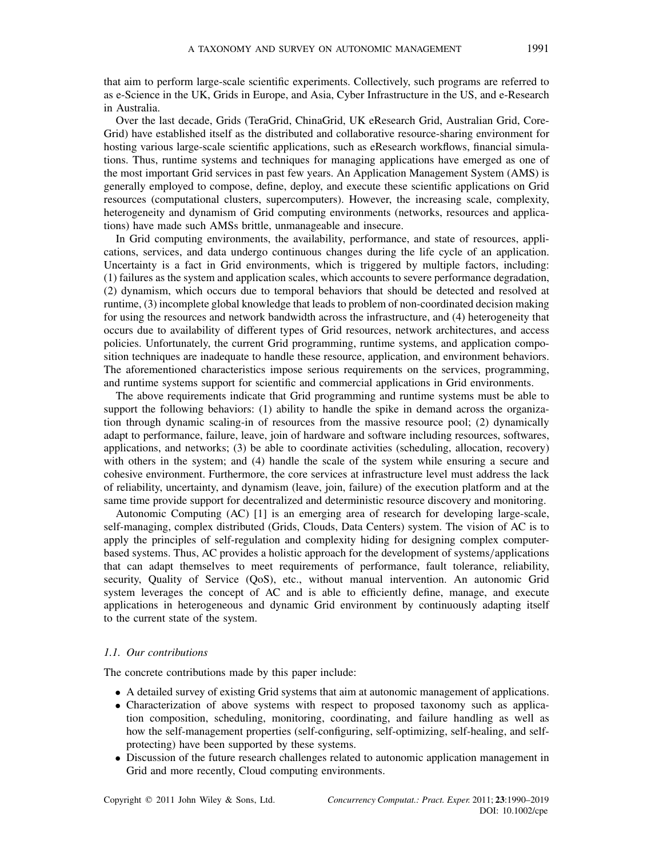that aim to perform large-scale scientific experiments. Collectively, such programs are referred to as e-Science in the UK, Grids in Europe, and Asia, Cyber Infrastructure in the US, and e-Research in Australia.

Over the last decade, Grids (TeraGrid, ChinaGrid, UK eResearch Grid, Australian Grid, Core-Grid) have established itself as the distributed and collaborative resource-sharing environment for hosting various large-scale scientific applications, such as eResearch workflows, financial simulations. Thus, runtime systems and techniques for managing applications have emerged as one of the most important Grid services in past few years. An Application Management System (AMS) is generally employed to compose, define, deploy, and execute these scientific applications on Grid resources (computational clusters, supercomputers). However, the increasing scale, complexity, heterogeneity and dynamism of Grid computing environments (networks, resources and applications) have made such AMSs brittle, unmanageable and insecure.

In Grid computing environments, the availability, performance, and state of resources, applications, services, and data undergo continuous changes during the life cycle of an application. Uncertainty is a fact in Grid environments, which is triggered by multiple factors, including: (1) failures as the system and application scales, which accounts to severe performance degradation, (2) dynamism, which occurs due to temporal behaviors that should be detected and resolved at runtime, (3) incomplete global knowledge that leads to problem of non-coordinated decision making for using the resources and network bandwidth across the infrastructure, and (4) heterogeneity that occurs due to availability of different types of Grid resources, network architectures, and access policies. Unfortunately, the current Grid programming, runtime systems, and application composition techniques are inadequate to handle these resource, application, and environment behaviors. The aforementioned characteristics impose serious requirements on the services, programming, and runtime systems support for scientific and commercial applications in Grid environments.

The above requirements indicate that Grid programming and runtime systems must be able to support the following behaviors: (1) ability to handle the spike in demand across the organization through dynamic scaling-in of resources from the massive resource pool; (2) dynamically adapt to performance, failure, leave, join of hardware and software including resources, softwares, applications, and networks; (3) be able to coordinate activities (scheduling, allocation, recovery) with others in the system; and (4) handle the scale of the system while ensuring a secure and cohesive environment. Furthermore, the core services at infrastructure level must address the lack of reliability, uncertainty, and dynamism (leave, join, failure) of the execution platform and at the same time provide support for decentralized and deterministic resource discovery and monitoring.

Autonomic Computing (AC) [1] is an emerging area of research for developing large-scale, self-managing, complex distributed (Grids, Clouds, Data Centers) system. The vision of AC is to apply the principles of self-regulation and complexity hiding for designing complex computerbased systems. Thus, AC provides a holistic approach for the development of systems*/*applications that can adapt themselves to meet requirements of performance, fault tolerance, reliability, security, Quality of Service (QoS), etc., without manual intervention. An autonomic Grid system leverages the concept of AC and is able to efficiently define, manage, and execute applications in heterogeneous and dynamic Grid environment by continuously adapting itself to the current state of the system.

### *1.1. Our contributions*

The concrete contributions made by this paper include:

- A detailed survey of existing Grid systems that aim at autonomic management of applications.
- Characterization of above systems with respect to proposed taxonomy such as application composition, scheduling, monitoring, coordinating, and failure handling as well as how the self-management properties (self-configuring, self-optimizing, self-healing, and selfprotecting) have been supported by these systems.
- Discussion of the future research challenges related to autonomic application management in Grid and more recently, Cloud computing environments.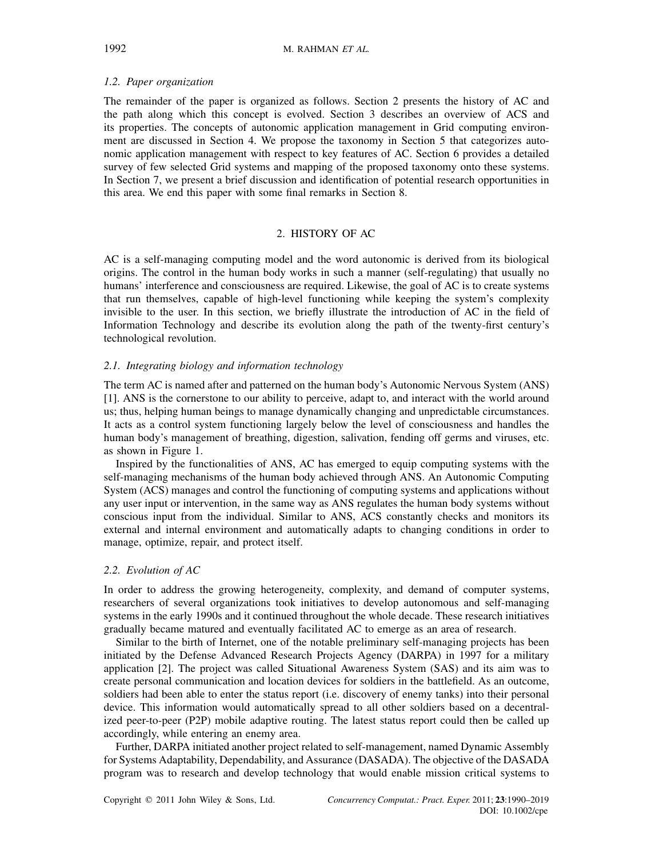### *1.2. Paper organization*

The remainder of the paper is organized as follows. Section 2 presents the history of AC and the path along which this concept is evolved. Section 3 describes an overview of ACS and its properties. The concepts of autonomic application management in Grid computing environment are discussed in Section 4. We propose the taxonomy in Section 5 that categorizes autonomic application management with respect to key features of AC. Section 6 provides a detailed survey of few selected Grid systems and mapping of the proposed taxonomy onto these systems. In Section 7, we present a brief discussion and identification of potential research opportunities in this area. We end this paper with some final remarks in Section 8.

### 2. HISTORY OF AC

AC is a self-managing computing model and the word autonomic is derived from its biological origins. The control in the human body works in such a manner (self-regulating) that usually no humans' interference and consciousness are required. Likewise, the goal of AC is to create systems that run themselves, capable of high-level functioning while keeping the system's complexity invisible to the user. In this section, we briefly illustrate the introduction of AC in the field of Information Technology and describe its evolution along the path of the twenty-first century's technological revolution.

#### *2.1. Integrating biology and information technology*

The term AC is named after and patterned on the human body's Autonomic Nervous System (ANS) [1]. ANS is the cornerstone to our ability to perceive, adapt to, and interact with the world around us; thus, helping human beings to manage dynamically changing and unpredictable circumstances. It acts as a control system functioning largely below the level of consciousness and handles the human body's management of breathing, digestion, salivation, fending off germs and viruses, etc. as shown in Figure 1.

Inspired by the functionalities of ANS, AC has emerged to equip computing systems with the self-managing mechanisms of the human body achieved through ANS. An Autonomic Computing System (ACS) manages and control the functioning of computing systems and applications without any user input or intervention, in the same way as ANS regulates the human body systems without conscious input from the individual. Similar to ANS, ACS constantly checks and monitors its external and internal environment and automatically adapts to changing conditions in order to manage, optimize, repair, and protect itself.

### *2.2. Evolution of AC*

In order to address the growing heterogeneity, complexity, and demand of computer systems, researchers of several organizations took initiatives to develop autonomous and self-managing systems in the early 1990s and it continued throughout the whole decade. These research initiatives gradually became matured and eventually facilitated AC to emerge as an area of research.

Similar to the birth of Internet, one of the notable preliminary self-managing projects has been initiated by the Defense Advanced Research Projects Agency (DARPA) in 1997 for a military application [2]. The project was called Situational Awareness System (SAS) and its aim was to create personal communication and location devices for soldiers in the battlefield. As an outcome, soldiers had been able to enter the status report (i.e. discovery of enemy tanks) into their personal device. This information would automatically spread to all other soldiers based on a decentralized peer-to-peer (P2P) mobile adaptive routing. The latest status report could then be called up accordingly, while entering an enemy area.

Further, DARPA initiated another project related to self-management, named Dynamic Assembly for Systems Adaptability, Dependability, and Assurance (DASADA). The objective of the DASADA program was to research and develop technology that would enable mission critical systems to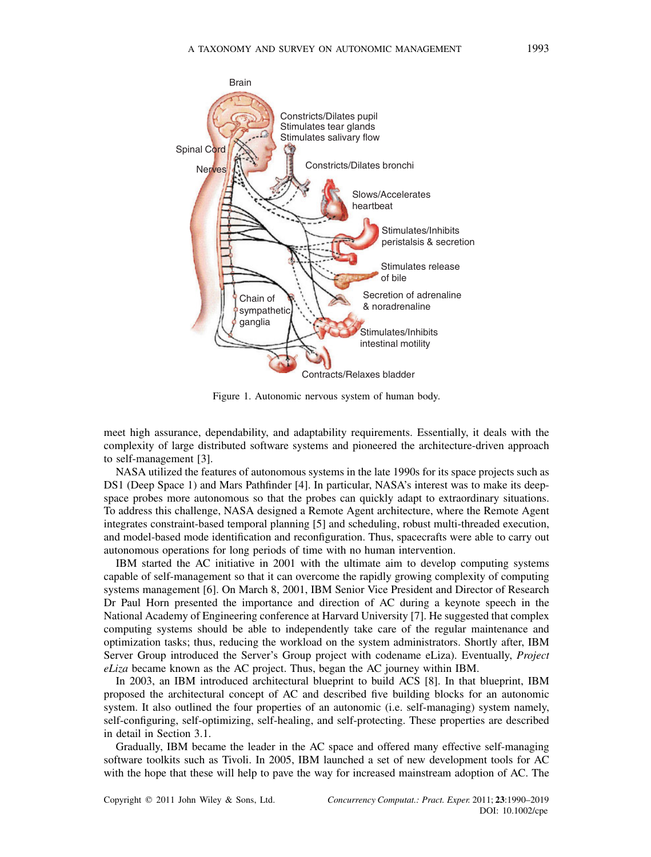

Figure 1. Autonomic nervous system of human body.

meet high assurance, dependability, and adaptability requirements. Essentially, it deals with the complexity of large distributed software systems and pioneered the architecture-driven approach to self-management [3].

NASA utilized the features of autonomous systems in the late 1990s for its space projects such as DS1 (Deep Space 1) and Mars Pathfinder [4]. In particular, NASA's interest was to make its deepspace probes more autonomous so that the probes can quickly adapt to extraordinary situations. To address this challenge, NASA designed a Remote Agent architecture, where the Remote Agent integrates constraint-based temporal planning [5] and scheduling, robust multi-threaded execution, and model-based mode identification and reconfiguration. Thus, spacecrafts were able to carry out autonomous operations for long periods of time with no human intervention.

IBM started the AC initiative in 2001 with the ultimate aim to develop computing systems capable of self-management so that it can overcome the rapidly growing complexity of computing systems management [6]. On March 8, 2001, IBM Senior Vice President and Director of Research Dr Paul Horn presented the importance and direction of AC during a keynote speech in the National Academy of Engineering conference at Harvard University [7]. He suggested that complex computing systems should be able to independently take care of the regular maintenance and optimization tasks; thus, reducing the workload on the system administrators. Shortly after, IBM Server Group introduced the Server's Group project with codename eLiza). Eventually, *Project eLiza* became known as the AC project. Thus, began the AC journey within IBM.

In 2003, an IBM introduced architectural blueprint to build ACS [8]. In that blueprint, IBM proposed the architectural concept of AC and described five building blocks for an autonomic system. It also outlined the four properties of an autonomic (i.e. self-managing) system namely, self-configuring, self-optimizing, self-healing, and self-protecting. These properties are described in detail in Section 3.1.

Gradually, IBM became the leader in the AC space and offered many effective self-managing software toolkits such as Tivoli. In 2005, IBM launched a set of new development tools for AC with the hope that these will help to pave the way for increased mainstream adoption of AC. The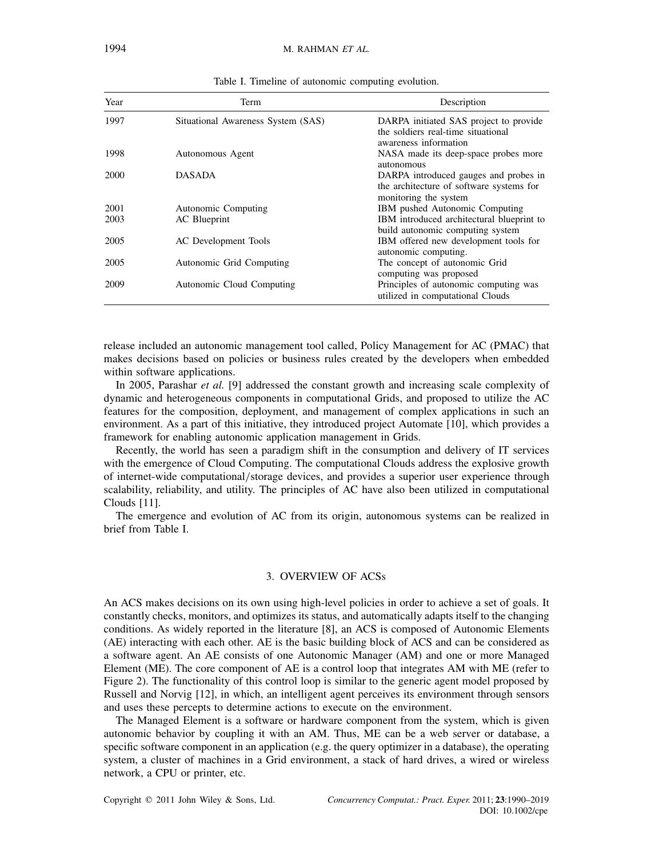| Year | Term                               | Description                                                                                                |
|------|------------------------------------|------------------------------------------------------------------------------------------------------------|
| 1997 | Situational Awareness System (SAS) | DARPA initiated SAS project to provide<br>the soldiers real-time situational<br>awareness information      |
| 1998 | Autonomous Agent                   | NASA made its deep-space probes more<br>autonomous                                                         |
| 2000 | <b>DASADA</b>                      | DARPA introduced gauges and probes in<br>the architecture of software systems for<br>monitoring the system |
| 2001 | Autonomic Computing                | IBM pushed Autonomic Computing                                                                             |
| 2003 | AC Blueprint                       | IBM introduced architectural blueprint to<br>build autonomic computing system                              |
| 2005 | AC Development Tools               | IBM offered new development tools for<br>autonomic computing.                                              |
| 2005 | Autonomic Grid Computing           | The concept of autonomic Grid<br>computing was proposed                                                    |
| 2009 | Autonomic Cloud Computing          | Principles of autonomic computing was<br>utilized in computational Clouds                                  |

Table I. Timeline of autonomic computing evolution.

release included an autonomic management tool called, Policy Management for AC (PMAC) that makes decisions based on policies or business rules created by the developers when embedded within software applications.

In 2005, Parashar *et al.* [9] addressed the constant growth and increasing scale complexity of dynamic and heterogeneous components in computational Grids, and proposed to utilize the AC features for the composition, deployment, and management of complex applications in such an environment. As a part of this initiative, they introduced project Automate [10], which provides a framework for enabling autonomic application management in Grids.

Recently, the world has seen a paradigm shift in the consumption and delivery of IT services with the emergence of Cloud Computing. The computational Clouds address the explosive growth of internet-wide computational*/*storage devices, and provides a superior user experience through scalability, reliability, and utility. The principles of AC have also been utilized in computational Clouds [11].

The emergence and evolution of AC from its origin, autonomous systems can be realized in brief from Table I.

#### 3. OVERVIEW OF ACSs

An ACS makes decisions on its own using high-level policies in order to achieve a set of goals. It constantly checks, monitors, and optimizes its status, and automatically adapts itself to the changing conditions. As widely reported in the literature [8], an ACS is composed of Autonomic Elements (AE) interacting with each other. AE is the basic building block of ACS and can be considered as a software agent. An AE consists of one Autonomic Manager (AM) and one or more Managed Element (ME). The core component of AE is a control loop that integrates AM with ME (refer to Figure 2). The functionality of this control loop is similar to the generic agent model proposed by Russell and Norvig [12], in which, an intelligent agent perceives its environment through sensors and uses these percepts to determine actions to execute on the environment.

The Managed Element is a software or hardware component from the system, which is given autonomic behavior by coupling it with an AM. Thus, ME can be a web server or database, a specific software component in an application (e.g. the query optimizer in a database), the operating system, a cluster of machines in a Grid environment, a stack of hard drives, a wired or wireless network, a CPU or printer, etc.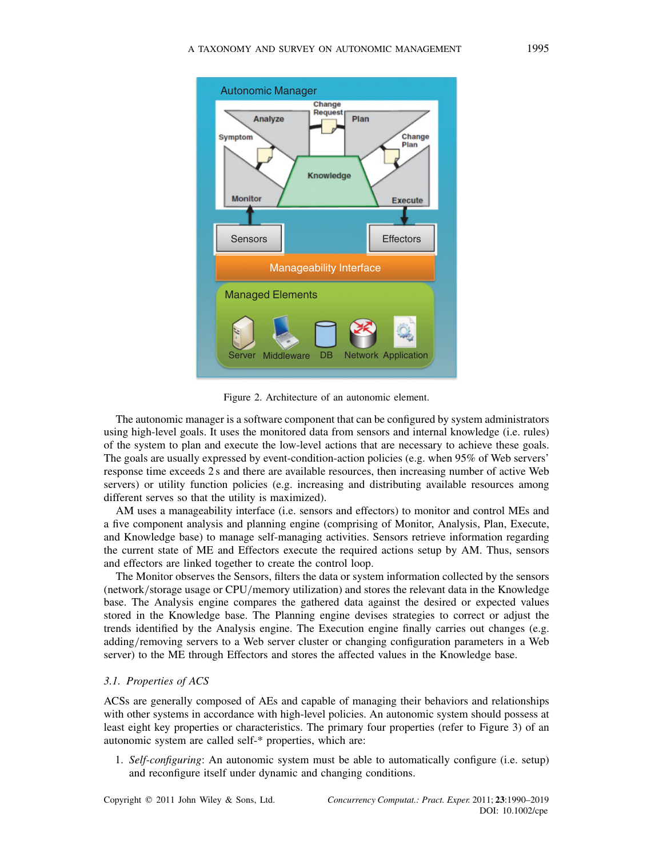

Figure 2. Architecture of an autonomic element.

The autonomic manager is a software component that can be configured by system administrators using high-level goals. It uses the monitored data from sensors and internal knowledge (i.e. rules) of the system to plan and execute the low-level actions that are necessary to achieve these goals. The goals are usually expressed by event-condition-action policies (e.g. when 95% of Web servers' response time exceeds 2 s and there are available resources, then increasing number of active Web servers) or utility function policies (e.g. increasing and distributing available resources among different serves so that the utility is maximized).

AM uses a manageability interface (i.e. sensors and effectors) to monitor and control MEs and a five component analysis and planning engine (comprising of Monitor, Analysis, Plan, Execute, and Knowledge base) to manage self-managing activities. Sensors retrieve information regarding the current state of ME and Effectors execute the required actions setup by AM. Thus, sensors and effectors are linked together to create the control loop.

The Monitor observes the Sensors, filters the data or system information collected by the sensors (network*/*storage usage or CPU*/*memory utilization) and stores the relevant data in the Knowledge base. The Analysis engine compares the gathered data against the desired or expected values stored in the Knowledge base. The Planning engine devises strategies to correct or adjust the trends identified by the Analysis engine. The Execution engine finally carries out changes (e.g. adding*/*removing servers to a Web server cluster or changing configuration parameters in a Web server) to the ME through Effectors and stores the affected values in the Knowledge base.

### *3.1. Properties of ACS*

ACSs are generally composed of AEs and capable of managing their behaviors and relationships with other systems in accordance with high-level policies. An autonomic system should possess at least eight key properties or characteristics. The primary four properties (refer to Figure 3) of an autonomic system are called self-\* properties, which are:

1. *Self-configuring*: An autonomic system must be able to automatically configure (i.e. setup) and reconfigure itself under dynamic and changing conditions.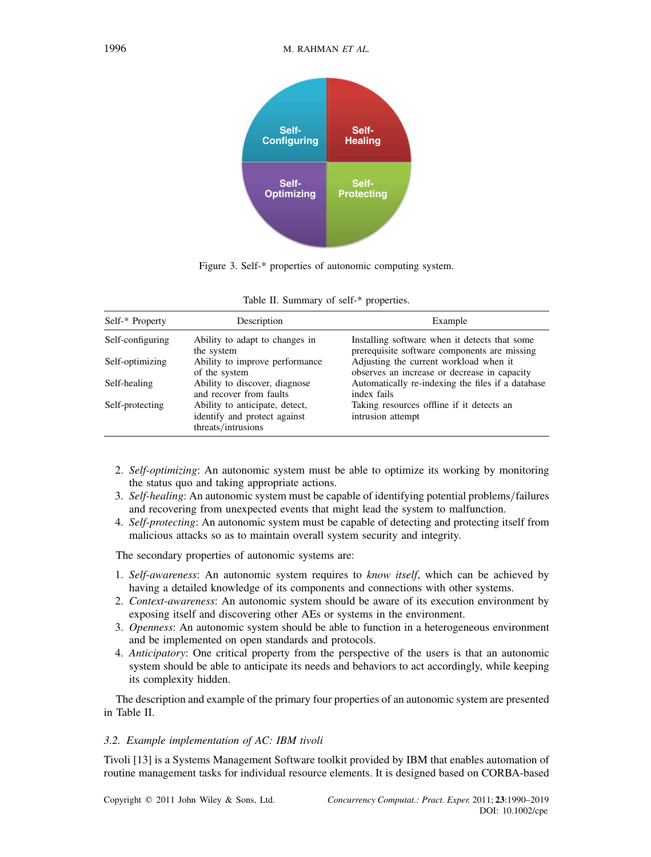

Figure 3. Self-\* properties of autonomic computing system.

| Self-* Property  | Description                                                                          | Example                                                                                       |
|------------------|--------------------------------------------------------------------------------------|-----------------------------------------------------------------------------------------------|
| Self-configuring | Ability to adapt to changes in<br>the system                                         | Installing software when it detects that some<br>prerequisite software components are missing |
| Self-optimizing  | Ability to improve performance<br>of the system                                      | Adjusting the current workload when it<br>observes an increase or decrease in capacity        |
| Self-healing     | Ability to discover, diagnose<br>and recover from faults                             | Automatically re-indexing the files if a database<br>index fails                              |
| Self-protecting  | Ability to anticipate, detect,<br>identify and protect against<br>threats/intrusions | Taking resources offline if it detects an<br>intrusion attempt                                |

|  |  |  | Table II. Summary of self-* properties. |
|--|--|--|-----------------------------------------|
|--|--|--|-----------------------------------------|

- 2. *Self-optimizing*: An autonomic system must be able to optimize its working by monitoring the status quo and taking appropriate actions.
- 3. *Self-healing*: An autonomic system must be capable of identifying potential problems*/*failures and recovering from unexpected events that might lead the system to malfunction.
- 4. *Self-protecting*: An autonomic system must be capable of detecting and protecting itself from malicious attacks so as to maintain overall system security and integrity.

The secondary properties of autonomic systems are:

- 1. *Self-awareness*: An autonomic system requires to *know itself*, which can be achieved by having a detailed knowledge of its components and connections with other systems.
- 2. *Context-awareness*: An autonomic system should be aware of its execution environment by exposing itself and discovering other AEs or systems in the environment.
- 3. *Openness*: An autonomic system should be able to function in a heterogeneous environment and be implemented on open standards and protocols.
- 4. *Anticipatory*: One critical property from the perspective of the users is that an autonomic system should be able to anticipate its needs and behaviors to act accordingly, while keeping its complexity hidden.

The description and example of the primary four properties of an autonomic system are presented in Table II.

### *3.2. Example implementation of AC: IBM tivoli*

Tivoli [13] is a Systems Management Software toolkit provided by IBM that enables automation of routine management tasks for individual resource elements. It is designed based on CORBA-based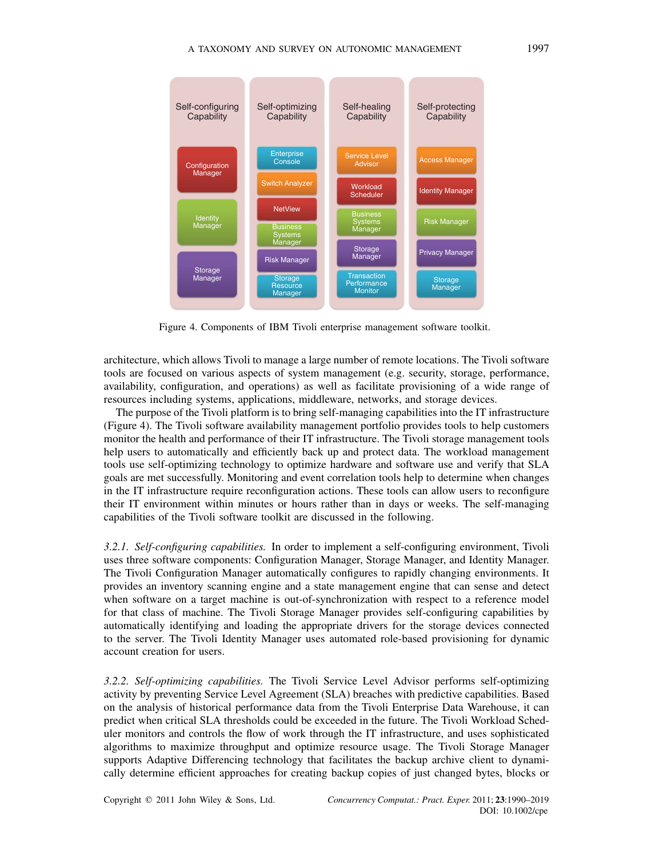

Figure 4. Components of IBM Tivoli enterprise management software toolkit.

architecture, which allows Tivoli to manage a large number of remote locations. The Tivoli software tools are focused on various aspects of system management (e.g. security, storage, performance, availability, configuration, and operations) as well as facilitate provisioning of a wide range of resources including systems, applications, middleware, networks, and storage devices.

The purpose of the Tivoli platform is to bring self-managing capabilities into the IT infrastructure (Figure 4). The Tivoli software availability management portfolio provides tools to help customers monitor the health and performance of their IT infrastructure. The Tivoli storage management tools help users to automatically and efficiently back up and protect data. The workload management tools use self-optimizing technology to optimize hardware and software use and verify that SLA goals are met successfully. Monitoring and event correlation tools help to determine when changes in the IT infrastructure require reconfiguration actions. These tools can allow users to reconfigure their IT environment within minutes or hours rather than in days or weeks. The self-managing capabilities of the Tivoli software toolkit are discussed in the following.

*3.2.1. Self-configuring capabilities.* In order to implement a self-configuring environment, Tivoli uses three software components: Configuration Manager, Storage Manager, and Identity Manager. The Tivoli Configuration Manager automatically configures to rapidly changing environments. It provides an inventory scanning engine and a state management engine that can sense and detect when software on a target machine is out-of-synchronization with respect to a reference model for that class of machine. The Tivoli Storage Manager provides self-configuring capabilities by automatically identifying and loading the appropriate drivers for the storage devices connected to the server. The Tivoli Identity Manager uses automated role-based provisioning for dynamic account creation for users.

*3.2.2. Self-optimizing capabilities.* The Tivoli Service Level Advisor performs self-optimizing activity by preventing Service Level Agreement (SLA) breaches with predictive capabilities. Based on the analysis of historical performance data from the Tivoli Enterprise Data Warehouse, it can predict when critical SLA thresholds could be exceeded in the future. The Tivoli Workload Scheduler monitors and controls the flow of work through the IT infrastructure, and uses sophisticated algorithms to maximize throughput and optimize resource usage. The Tivoli Storage Manager supports Adaptive Differencing technology that facilitates the backup archive client to dynamically determine efficient approaches for creating backup copies of just changed bytes, blocks or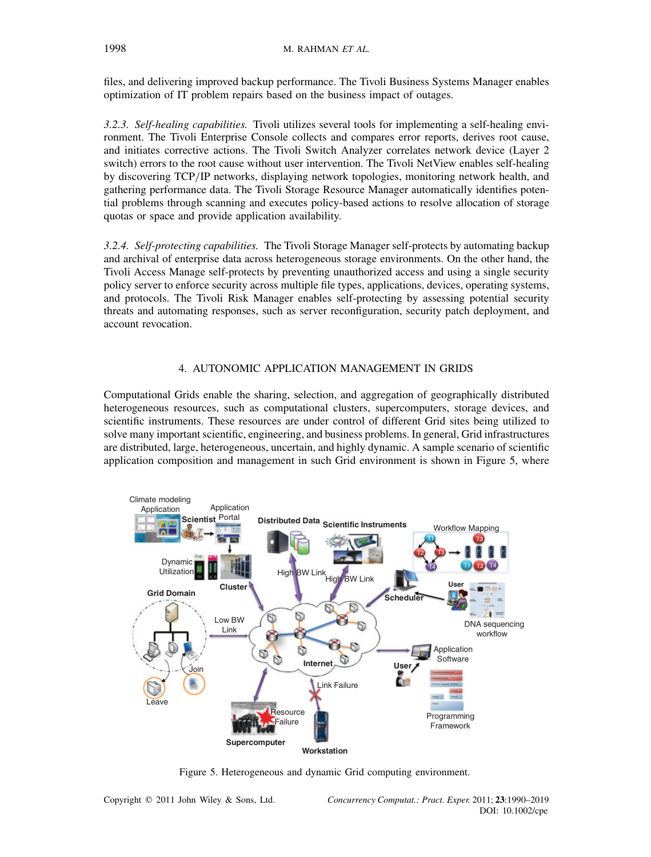files, and delivering improved backup performance. The Tivoli Business Systems Manager enables optimization of IT problem repairs based on the business impact of outages.

*3.2.3. Self-healing capabilities.* Tivoli utilizes several tools for implementing a self-healing environment. The Tivoli Enterprise Console collects and compares error reports, derives root cause, and initiates corrective actions. The Tivoli Switch Analyzer correlates network device (Layer 2 switch) errors to the root cause without user intervention. The Tivoli NetView enables self-healing by discovering TCP*/*IP networks, displaying network topologies, monitoring network health, and gathering performance data. The Tivoli Storage Resource Manager automatically identifies potential problems through scanning and executes policy-based actions to resolve allocation of storage quotas or space and provide application availability.

*3.2.4. Self-protecting capabilities.* The Tivoli Storage Manager self-protects by automating backup and archival of enterprise data across heterogeneous storage environments. On the other hand, the Tivoli Access Manage self-protects by preventing unauthorized access and using a single security policy server to enforce security across multiple file types, applications, devices, operating systems, and protocols. The Tivoli Risk Manager enables self-protecting by assessing potential security threats and automating responses, such as server reconfiguration, security patch deployment, and account revocation.

### 4. AUTONOMIC APPLICATION MANAGEMENT IN GRIDS

Computational Grids enable the sharing, selection, and aggregation of geographically distributed heterogeneous resources, such as computational clusters, supercomputers, storage devices, and scientific instruments. These resources are under control of different Grid sites being utilized to solve many important scientific, engineering, and business problems. In general, Grid infrastructures are distributed, large, heterogeneous, uncertain, and highly dynamic. A sample scenario of scientific application composition and management in such Grid environment is shown in Figure 5, where



Figure 5. Heterogeneous and dynamic Grid computing environment.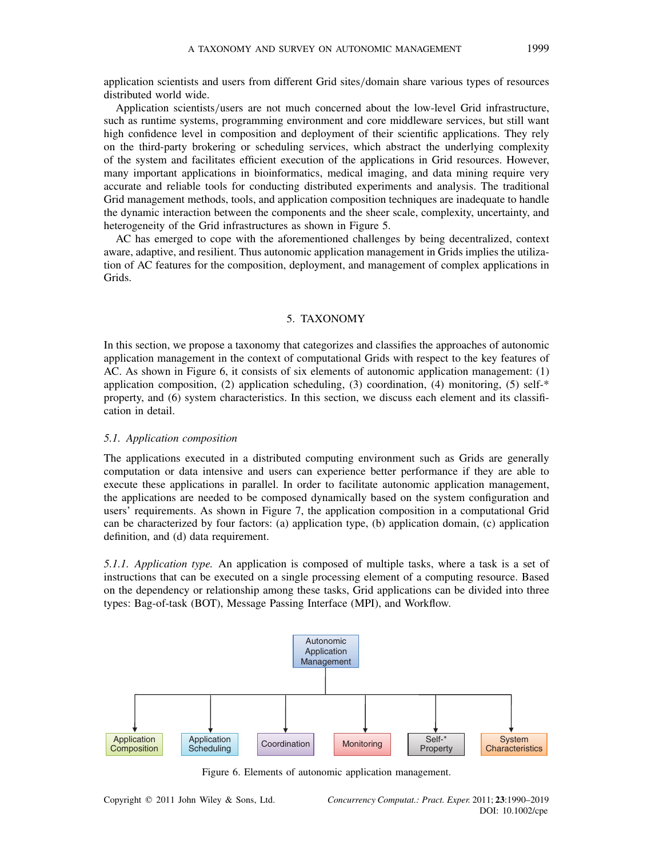application scientists and users from different Grid sites*/*domain share various types of resources distributed world wide.

Application scientists*/*users are not much concerned about the low-level Grid infrastructure, such as runtime systems, programming environment and core middleware services, but still want high confidence level in composition and deployment of their scientific applications. They rely on the third-party brokering or scheduling services, which abstract the underlying complexity of the system and facilitates efficient execution of the applications in Grid resources. However, many important applications in bioinformatics, medical imaging, and data mining require very accurate and reliable tools for conducting distributed experiments and analysis. The traditional Grid management methods, tools, and application composition techniques are inadequate to handle the dynamic interaction between the components and the sheer scale, complexity, uncertainty, and heterogeneity of the Grid infrastructures as shown in Figure 5.

AC has emerged to cope with the aforementioned challenges by being decentralized, context aware, adaptive, and resilient. Thus autonomic application management in Grids implies the utilization of AC features for the composition, deployment, and management of complex applications in Grids.

### 5. TAXONOMY

In this section, we propose a taxonomy that categorizes and classifies the approaches of autonomic application management in the context of computational Grids with respect to the key features of AC. As shown in Figure 6, it consists of six elements of autonomic application management: (1) application composition, (2) application scheduling, (3) coordination, (4) monitoring, (5) self- $*$ property, and (6) system characteristics. In this section, we discuss each element and its classification in detail.

#### *5.1. Application composition*

The applications executed in a distributed computing environment such as Grids are generally computation or data intensive and users can experience better performance if they are able to execute these applications in parallel. In order to facilitate autonomic application management, the applications are needed to be composed dynamically based on the system configuration and users' requirements. As shown in Figure 7, the application composition in a computational Grid can be characterized by four factors: (a) application type, (b) application domain, (c) application definition, and (d) data requirement.

*5.1.1. Application type.* An application is composed of multiple tasks, where a task is a set of instructions that can be executed on a single processing element of a computing resource. Based on the dependency or relationship among these tasks, Grid applications can be divided into three types: Bag-of-task (BOT), Message Passing Interface (MPI), and Workflow.



Figure 6. Elements of autonomic application management.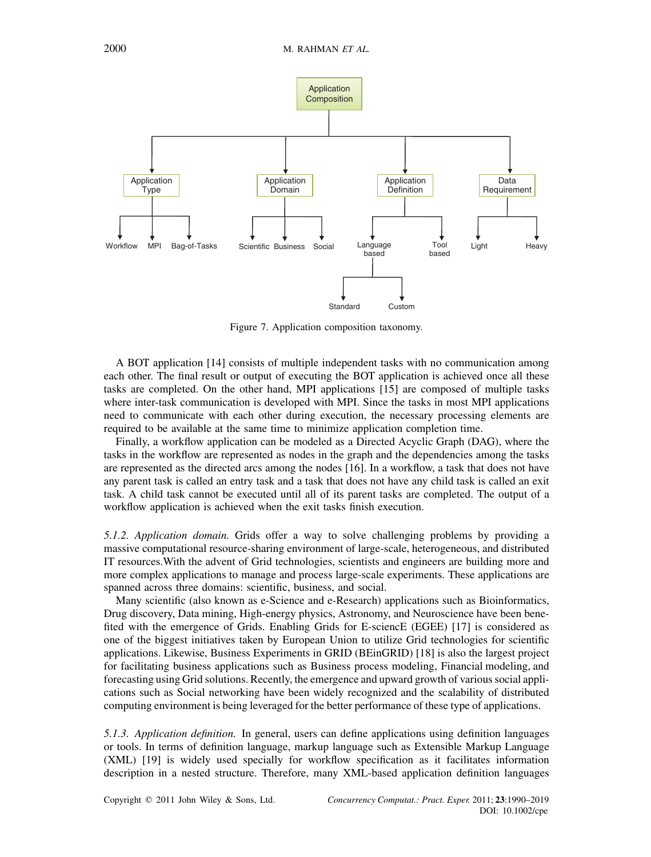

Figure 7. Application composition taxonomy.

A BOT application [14] consists of multiple independent tasks with no communication among each other. The final result or output of executing the BOT application is achieved once all these tasks are completed. On the other hand, MPI applications [15] are composed of multiple tasks where inter-task communication is developed with MPI. Since the tasks in most MPI applications need to communicate with each other during execution, the necessary processing elements are required to be available at the same time to minimize application completion time.

Finally, a workflow application can be modeled as a Directed Acyclic Graph (DAG), where the tasks in the workflow are represented as nodes in the graph and the dependencies among the tasks are represented as the directed arcs among the nodes [16]. In a workflow, a task that does not have any parent task is called an entry task and a task that does not have any child task is called an exit task. A child task cannot be executed until all of its parent tasks are completed. The output of a workflow application is achieved when the exit tasks finish execution.

*5.1.2. Application domain.* Grids offer a way to solve challenging problems by providing a massive computational resource-sharing environment of large-scale, heterogeneous, and distributed IT resources.With the advent of Grid technologies, scientists and engineers are building more and more complex applications to manage and process large-scale experiments. These applications are spanned across three domains: scientific, business, and social.

Many scientific (also known as e-Science and e-Research) applications such as Bioinformatics, Drug discovery, Data mining, High-energy physics, Astronomy, and Neuroscience have been benefited with the emergence of Grids. Enabling Grids for E-sciencE (EGEE) [17] is considered as one of the biggest initiatives taken by European Union to utilize Grid technologies for scientific applications. Likewise, Business Experiments in GRID (BEinGRID) [18] is also the largest project for facilitating business applications such as Business process modeling, Financial modeling, and forecasting using Grid solutions. Recently, the emergence and upward growth of various social applications such as Social networking have been widely recognized and the scalability of distributed computing environment is being leveraged for the better performance of these type of applications.

*5.1.3. Application definition.* In general, users can define applications using definition languages or tools. In terms of definition language, markup language such as Extensible Markup Language (XML) [19] is widely used specially for workflow specification as it facilitates information description in a nested structure. Therefore, many XML-based application definition languages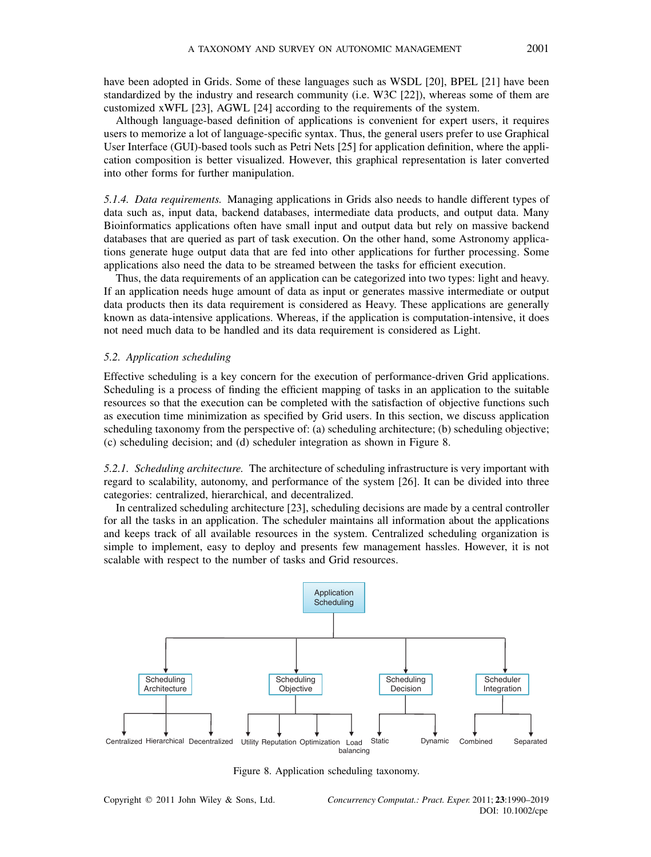have been adopted in Grids. Some of these languages such as WSDL [20], BPEL [21] have been standardized by the industry and research community (i.e. W3C [22]), whereas some of them are customized xWFL [23], AGWL [24] according to the requirements of the system.

Although language-based definition of applications is convenient for expert users, it requires users to memorize a lot of language-specific syntax. Thus, the general users prefer to use Graphical User Interface (GUI)-based tools such as Petri Nets [25] for application definition, where the application composition is better visualized. However, this graphical representation is later converted into other forms for further manipulation.

*5.1.4. Data requirements.* Managing applications in Grids also needs to handle different types of data such as, input data, backend databases, intermediate data products, and output data. Many Bioinformatics applications often have small input and output data but rely on massive backend databases that are queried as part of task execution. On the other hand, some Astronomy applications generate huge output data that are fed into other applications for further processing. Some applications also need the data to be streamed between the tasks for efficient execution.

Thus, the data requirements of an application can be categorized into two types: light and heavy. If an application needs huge amount of data as input or generates massive intermediate or output data products then its data requirement is considered as Heavy. These applications are generally known as data-intensive applications. Whereas, if the application is computation-intensive, it does not need much data to be handled and its data requirement is considered as Light.

### *5.2. Application scheduling*

Effective scheduling is a key concern for the execution of performance-driven Grid applications. Scheduling is a process of finding the efficient mapping of tasks in an application to the suitable resources so that the execution can be completed with the satisfaction of objective functions such as execution time minimization as specified by Grid users. In this section, we discuss application scheduling taxonomy from the perspective of: (a) scheduling architecture; (b) scheduling objective; (c) scheduling decision; and (d) scheduler integration as shown in Figure 8.

*5.2.1. Scheduling architecture.* The architecture of scheduling infrastructure is very important with regard to scalability, autonomy, and performance of the system [26]. It can be divided into three categories: centralized, hierarchical, and decentralized.

In centralized scheduling architecture [23], scheduling decisions are made by a central controller for all the tasks in an application. The scheduler maintains all information about the applications and keeps track of all available resources in the system. Centralized scheduling organization is simple to implement, easy to deploy and presents few management hassles. However, it is not scalable with respect to the number of tasks and Grid resources.



Figure 8. Application scheduling taxonomy.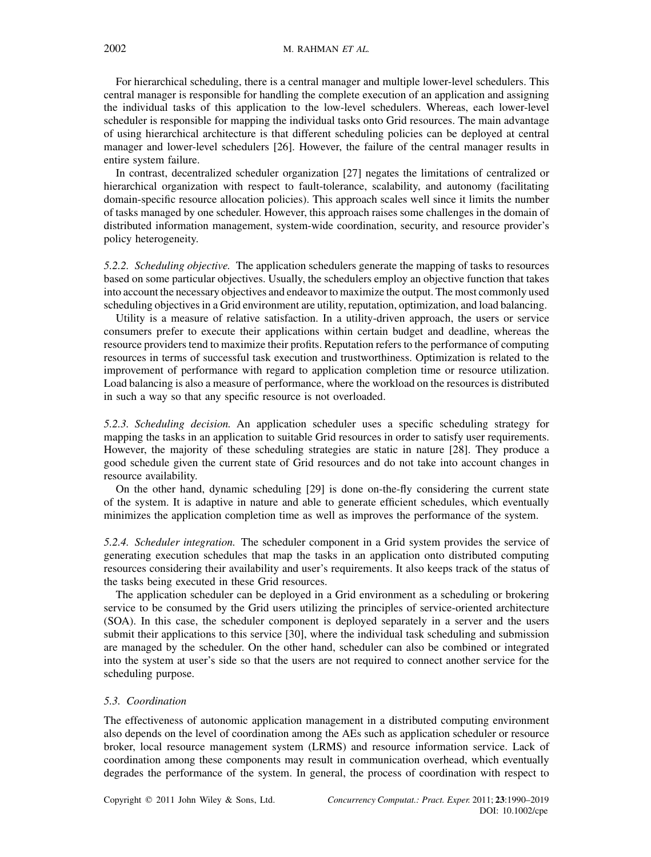For hierarchical scheduling, there is a central manager and multiple lower-level schedulers. This central manager is responsible for handling the complete execution of an application and assigning the individual tasks of this application to the low-level schedulers. Whereas, each lower-level scheduler is responsible for mapping the individual tasks onto Grid resources. The main advantage of using hierarchical architecture is that different scheduling policies can be deployed at central manager and lower-level schedulers [26]. However, the failure of the central manager results in entire system failure.

In contrast, decentralized scheduler organization [27] negates the limitations of centralized or hierarchical organization with respect to fault-tolerance, scalability, and autonomy (facilitating domain-specific resource allocation policies). This approach scales well since it limits the number of tasks managed by one scheduler. However, this approach raises some challenges in the domain of distributed information management, system-wide coordination, security, and resource provider's policy heterogeneity.

*5.2.2. Scheduling objective.* The application schedulers generate the mapping of tasks to resources based on some particular objectives. Usually, the schedulers employ an objective function that takes into account the necessary objectives and endeavor to maximize the output. The most commonly used scheduling objectives in a Grid environment are utility, reputation, optimization, and load balancing.

Utility is a measure of relative satisfaction. In a utility-driven approach, the users or service consumers prefer to execute their applications within certain budget and deadline, whereas the resource providers tend to maximize their profits. Reputation refers to the performance of computing resources in terms of successful task execution and trustworthiness. Optimization is related to the improvement of performance with regard to application completion time or resource utilization. Load balancing is also a measure of performance, where the workload on the resources is distributed in such a way so that any specific resource is not overloaded.

*5.2.3. Scheduling decision.* An application scheduler uses a specific scheduling strategy for mapping the tasks in an application to suitable Grid resources in order to satisfy user requirements. However, the majority of these scheduling strategies are static in nature [28]. They produce a good schedule given the current state of Grid resources and do not take into account changes in resource availability.

On the other hand, dynamic scheduling [29] is done on-the-fly considering the current state of the system. It is adaptive in nature and able to generate efficient schedules, which eventually minimizes the application completion time as well as improves the performance of the system.

*5.2.4. Scheduler integration.* The scheduler component in a Grid system provides the service of generating execution schedules that map the tasks in an application onto distributed computing resources considering their availability and user's requirements. It also keeps track of the status of the tasks being executed in these Grid resources.

The application scheduler can be deployed in a Grid environment as a scheduling or brokering service to be consumed by the Grid users utilizing the principles of service-oriented architecture (SOA). In this case, the scheduler component is deployed separately in a server and the users submit their applications to this service [30], where the individual task scheduling and submission are managed by the scheduler. On the other hand, scheduler can also be combined or integrated into the system at user's side so that the users are not required to connect another service for the scheduling purpose.

#### *5.3. Coordination*

The effectiveness of autonomic application management in a distributed computing environment also depends on the level of coordination among the AEs such as application scheduler or resource broker, local resource management system (LRMS) and resource information service. Lack of coordination among these components may result in communication overhead, which eventually degrades the performance of the system. In general, the process of coordination with respect to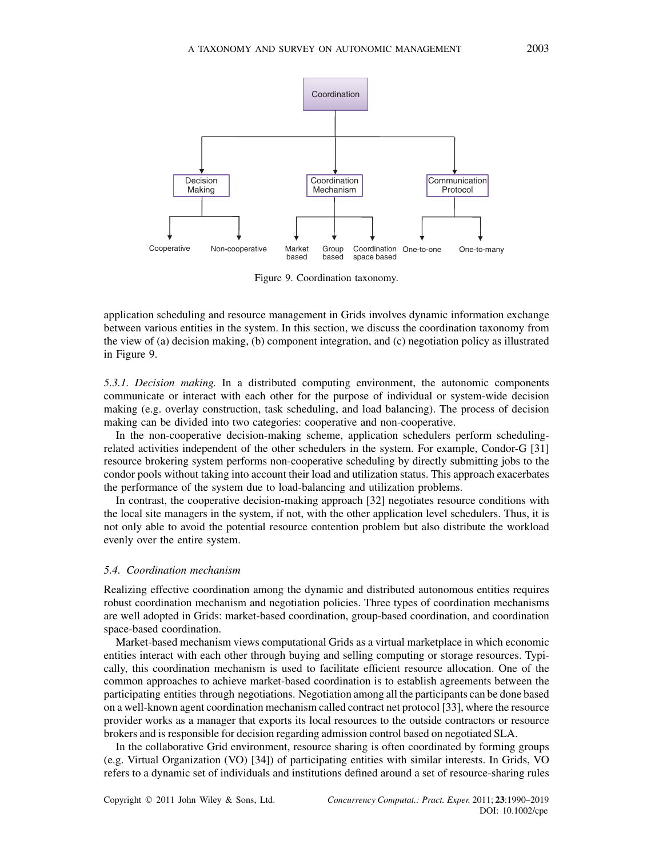

Figure 9. Coordination taxonomy.

application scheduling and resource management in Grids involves dynamic information exchange between various entities in the system. In this section, we discuss the coordination taxonomy from the view of (a) decision making, (b) component integration, and (c) negotiation policy as illustrated in Figure 9.

*5.3.1. Decision making.* In a distributed computing environment, the autonomic components communicate or interact with each other for the purpose of individual or system-wide decision making (e.g. overlay construction, task scheduling, and load balancing). The process of decision making can be divided into two categories: cooperative and non-cooperative.

In the non-cooperative decision-making scheme, application schedulers perform schedulingrelated activities independent of the other schedulers in the system. For example, Condor-G [31] resource brokering system performs non-cooperative scheduling by directly submitting jobs to the condor pools without taking into account their load and utilization status. This approach exacerbates the performance of the system due to load-balancing and utilization problems.

In contrast, the cooperative decision-making approach [32] negotiates resource conditions with the local site managers in the system, if not, with the other application level schedulers. Thus, it is not only able to avoid the potential resource contention problem but also distribute the workload evenly over the entire system.

#### *5.4. Coordination mechanism*

Realizing effective coordination among the dynamic and distributed autonomous entities requires robust coordination mechanism and negotiation policies. Three types of coordination mechanisms are well adopted in Grids: market-based coordination, group-based coordination, and coordination space-based coordination.

Market-based mechanism views computational Grids as a virtual marketplace in which economic entities interact with each other through buying and selling computing or storage resources. Typically, this coordination mechanism is used to facilitate efficient resource allocation. One of the common approaches to achieve market-based coordination is to establish agreements between the participating entities through negotiations. Negotiation among all the participants can be done based on a well-known agent coordination mechanism called contract net protocol [33], where the resource provider works as a manager that exports its local resources to the outside contractors or resource brokers and is responsible for decision regarding admission control based on negotiated SLA.

In the collaborative Grid environment, resource sharing is often coordinated by forming groups (e.g. Virtual Organization (VO) [34]) of participating entities with similar interests. In Grids, VO refers to a dynamic set of individuals and institutions defined around a set of resource-sharing rules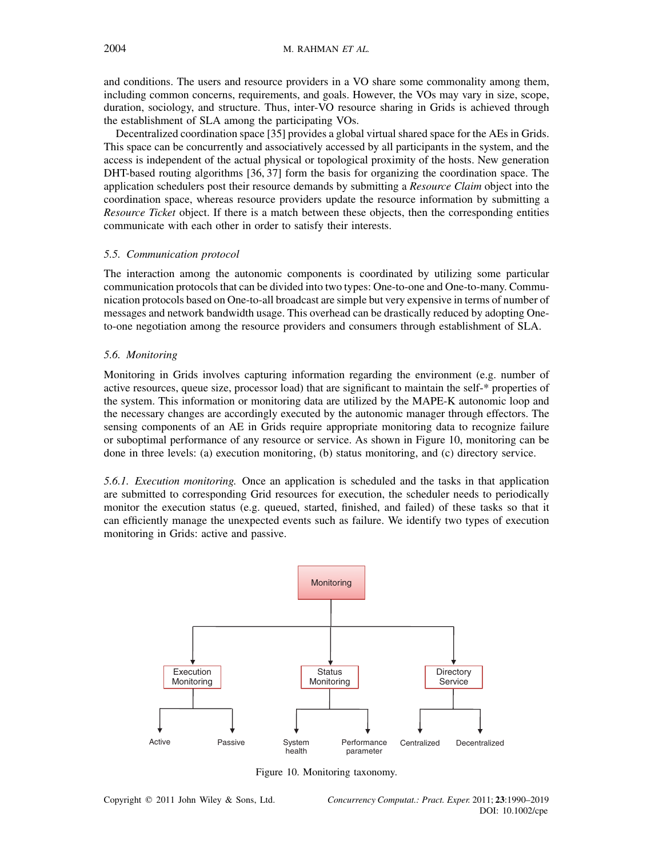and conditions. The users and resource providers in a VO share some commonality among them, including common concerns, requirements, and goals. However, the VOs may vary in size, scope, duration, sociology, and structure. Thus, inter-VO resource sharing in Grids is achieved through the establishment of SLA among the participating VOs.

Decentralized coordination space [35] provides a global virtual shared space for the AEs in Grids. This space can be concurrently and associatively accessed by all participants in the system, and the access is independent of the actual physical or topological proximity of the hosts. New generation DHT-based routing algorithms [36, 37] form the basis for organizing the coordination space. The application schedulers post their resource demands by submitting a *Resource Claim* object into the coordination space, whereas resource providers update the resource information by submitting a *Resource Ticket* object. If there is a match between these objects, then the corresponding entities communicate with each other in order to satisfy their interests.

### *5.5. Communication protocol*

The interaction among the autonomic components is coordinated by utilizing some particular communication protocols that can be divided into two types: One-to-one and One-to-many. Communication protocols based on One-to-all broadcast are simple but very expensive in terms of number of messages and network bandwidth usage. This overhead can be drastically reduced by adopting Oneto-one negotiation among the resource providers and consumers through establishment of SLA.

### *5.6. Monitoring*

Monitoring in Grids involves capturing information regarding the environment (e.g. number of active resources, queue size, processor load) that are significant to maintain the self-\* properties of the system. This information or monitoring data are utilized by the MAPE-K autonomic loop and the necessary changes are accordingly executed by the autonomic manager through effectors. The sensing components of an AE in Grids require appropriate monitoring data to recognize failure or suboptimal performance of any resource or service. As shown in Figure 10, monitoring can be done in three levels: (a) execution monitoring, (b) status monitoring, and (c) directory service.

*5.6.1. Execution monitoring.* Once an application is scheduled and the tasks in that application are submitted to corresponding Grid resources for execution, the scheduler needs to periodically monitor the execution status (e.g. queued, started, finished, and failed) of these tasks so that it can efficiently manage the unexpected events such as failure. We identify two types of execution monitoring in Grids: active and passive.



Figure 10. Monitoring taxonomy.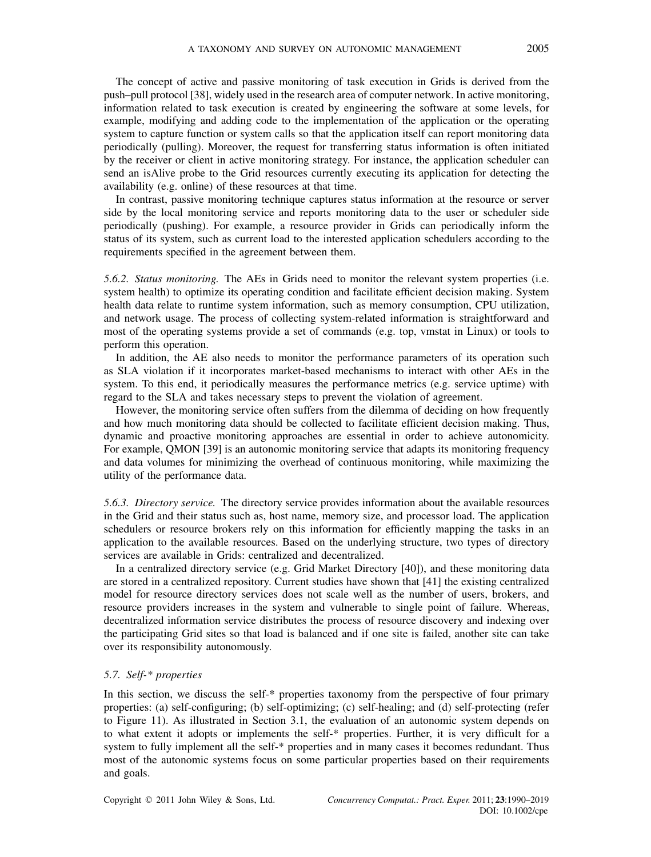The concept of active and passive monitoring of task execution in Grids is derived from the push–pull protocol [38], widely used in the research area of computer network. In active monitoring, information related to task execution is created by engineering the software at some levels, for example, modifying and adding code to the implementation of the application or the operating system to capture function or system calls so that the application itself can report monitoring data periodically (pulling). Moreover, the request for transferring status information is often initiated by the receiver or client in active monitoring strategy. For instance, the application scheduler can send an isAlive probe to the Grid resources currently executing its application for detecting the availability (e.g. online) of these resources at that time.

In contrast, passive monitoring technique captures status information at the resource or server side by the local monitoring service and reports monitoring data to the user or scheduler side periodically (pushing). For example, a resource provider in Grids can periodically inform the status of its system, such as current load to the interested application schedulers according to the requirements specified in the agreement between them.

*5.6.2. Status monitoring.* The AEs in Grids need to monitor the relevant system properties (i.e. system health) to optimize its operating condition and facilitate efficient decision making. System health data relate to runtime system information, such as memory consumption, CPU utilization, and network usage. The process of collecting system-related information is straightforward and most of the operating systems provide a set of commands (e.g. top, vmstat in Linux) or tools to perform this operation.

In addition, the AE also needs to monitor the performance parameters of its operation such as SLA violation if it incorporates market-based mechanisms to interact with other AEs in the system. To this end, it periodically measures the performance metrics (e.g. service uptime) with regard to the SLA and takes necessary steps to prevent the violation of agreement.

However, the monitoring service often suffers from the dilemma of deciding on how frequently and how much monitoring data should be collected to facilitate efficient decision making. Thus, dynamic and proactive monitoring approaches are essential in order to achieve autonomicity. For example, QMON [39] is an autonomic monitoring service that adapts its monitoring frequency and data volumes for minimizing the overhead of continuous monitoring, while maximizing the utility of the performance data.

*5.6.3. Directory service.* The directory service provides information about the available resources in the Grid and their status such as, host name, memory size, and processor load. The application schedulers or resource brokers rely on this information for efficiently mapping the tasks in an application to the available resources. Based on the underlying structure, two types of directory services are available in Grids: centralized and decentralized.

In a centralized directory service (e.g. Grid Market Directory [40]), and these monitoring data are stored in a centralized repository. Current studies have shown that [41] the existing centralized model for resource directory services does not scale well as the number of users, brokers, and resource providers increases in the system and vulnerable to single point of failure. Whereas, decentralized information service distributes the process of resource discovery and indexing over the participating Grid sites so that load is balanced and if one site is failed, another site can take over its responsibility autonomously.

### *5.7. Self-\* properties*

In this section, we discuss the self-\* properties taxonomy from the perspective of four primary properties: (a) self-configuring; (b) self-optimizing; (c) self-healing; and (d) self-protecting (refer to Figure 11). As illustrated in Section 3.1, the evaluation of an autonomic system depends on to what extent it adopts or implements the self-\* properties. Further, it is very difficult for a system to fully implement all the self-\* properties and in many cases it becomes redundant. Thus most of the autonomic systems focus on some particular properties based on their requirements and goals.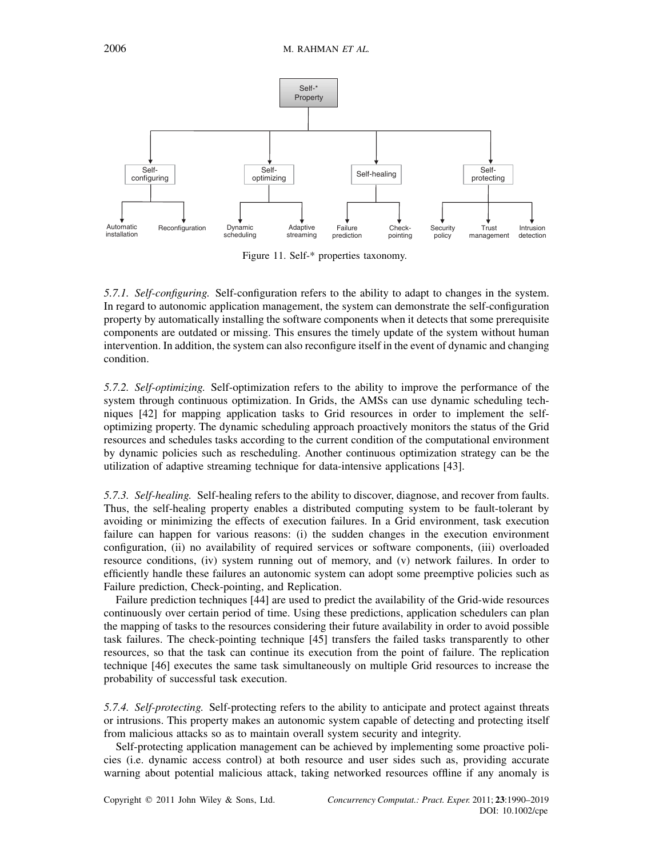

Figure 11. Self-\* properties taxonomy.

*5.7.1. Self-configuring.* Self-configuration refers to the ability to adapt to changes in the system. In regard to autonomic application management, the system can demonstrate the self-configuration property by automatically installing the software components when it detects that some prerequisite components are outdated or missing. This ensures the timely update of the system without human intervention. In addition, the system can also reconfigure itself in the event of dynamic and changing condition.

*5.7.2. Self-optimizing.* Self-optimization refers to the ability to improve the performance of the system through continuous optimization. In Grids, the AMSs can use dynamic scheduling techniques [42] for mapping application tasks to Grid resources in order to implement the selfoptimizing property. The dynamic scheduling approach proactively monitors the status of the Grid resources and schedules tasks according to the current condition of the computational environment by dynamic policies such as rescheduling. Another continuous optimization strategy can be the utilization of adaptive streaming technique for data-intensive applications [43].

*5.7.3. Self-healing.* Self-healing refers to the ability to discover, diagnose, and recover from faults. Thus, the self-healing property enables a distributed computing system to be fault-tolerant by avoiding or minimizing the effects of execution failures. In a Grid environment, task execution failure can happen for various reasons: (i) the sudden changes in the execution environment configuration, (ii) no availability of required services or software components, (iii) overloaded resource conditions, (iv) system running out of memory, and (v) network failures. In order to efficiently handle these failures an autonomic system can adopt some preemptive policies such as Failure prediction, Check-pointing, and Replication.

Failure prediction techniques [44] are used to predict the availability of the Grid-wide resources continuously over certain period of time. Using these predictions, application schedulers can plan the mapping of tasks to the resources considering their future availability in order to avoid possible task failures. The check-pointing technique [45] transfers the failed tasks transparently to other resources, so that the task can continue its execution from the point of failure. The replication technique [46] executes the same task simultaneously on multiple Grid resources to increase the probability of successful task execution.

*5.7.4. Self-protecting.* Self-protecting refers to the ability to anticipate and protect against threats or intrusions. This property makes an autonomic system capable of detecting and protecting itself from malicious attacks so as to maintain overall system security and integrity.

Self-protecting application management can be achieved by implementing some proactive policies (i.e. dynamic access control) at both resource and user sides such as, providing accurate warning about potential malicious attack, taking networked resources offline if any anomaly is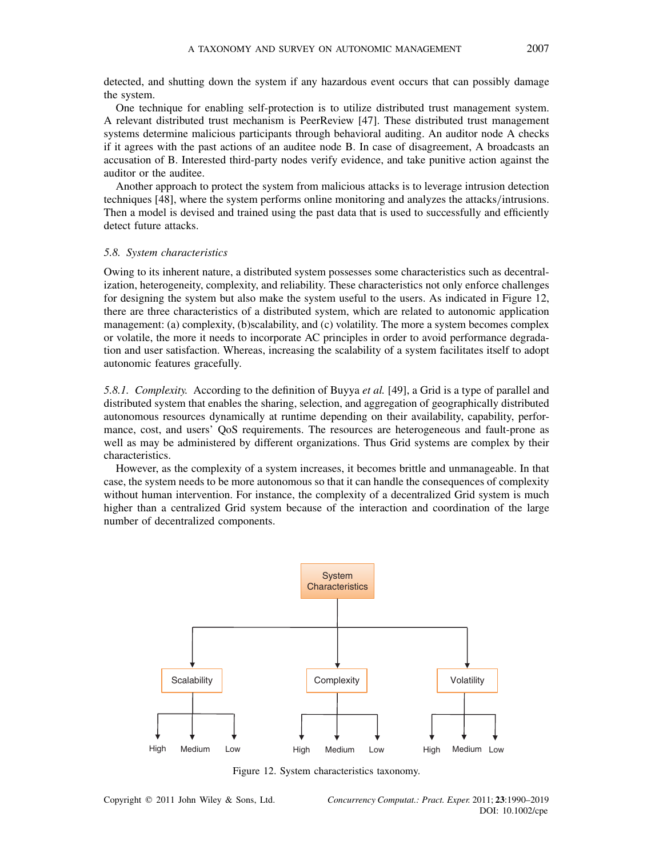detected, and shutting down the system if any hazardous event occurs that can possibly damage the system.

One technique for enabling self-protection is to utilize distributed trust management system. A relevant distributed trust mechanism is PeerReview [47]. These distributed trust management systems determine malicious participants through behavioral auditing. An auditor node A checks if it agrees with the past actions of an auditee node B. In case of disagreement, A broadcasts an accusation of B. Interested third-party nodes verify evidence, and take punitive action against the auditor or the auditee.

Another approach to protect the system from malicious attacks is to leverage intrusion detection techniques [48], where the system performs online monitoring and analyzes the attacks*/*intrusions. Then a model is devised and trained using the past data that is used to successfully and efficiently detect future attacks.

#### *5.8. System characteristics*

Owing to its inherent nature, a distributed system possesses some characteristics such as decentralization, heterogeneity, complexity, and reliability. These characteristics not only enforce challenges for designing the system but also make the system useful to the users. As indicated in Figure 12, there are three characteristics of a distributed system, which are related to autonomic application management: (a) complexity, (b)scalability, and (c) volatility. The more a system becomes complex or volatile, the more it needs to incorporate AC principles in order to avoid performance degradation and user satisfaction. Whereas, increasing the scalability of a system facilitates itself to adopt autonomic features gracefully.

*5.8.1. Complexity.* According to the definition of Buyya *et al.* [49], a Grid is a type of parallel and distributed system that enables the sharing, selection, and aggregation of geographically distributed autonomous resources dynamically at runtime depending on their availability, capability, performance, cost, and users' QoS requirements. The resources are heterogeneous and fault-prone as well as may be administered by different organizations. Thus Grid systems are complex by their characteristics.

However, as the complexity of a system increases, it becomes brittle and unmanageable. In that case, the system needs to be more autonomous so that it can handle the consequences of complexity without human intervention. For instance, the complexity of a decentralized Grid system is much higher than a centralized Grid system because of the interaction and coordination of the large number of decentralized components.



Figure 12. System characteristics taxonomy.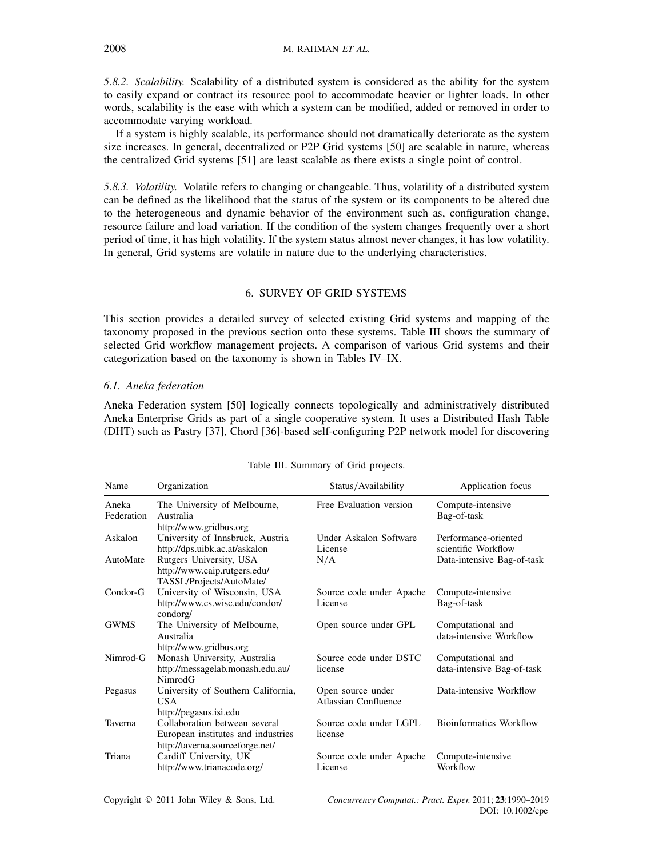*5.8.2. Scalability.* Scalability of a distributed system is considered as the ability for the system to easily expand or contract its resource pool to accommodate heavier or lighter loads. In other words, scalability is the ease with which a system can be modified, added or removed in order to accommodate varying workload.

If a system is highly scalable, its performance should not dramatically deteriorate as the system size increases. In general, decentralized or P2P Grid systems [50] are scalable in nature, whereas the centralized Grid systems [51] are least scalable as there exists a single point of control.

*5.8.3. Volatility.* Volatile refers to changing or changeable. Thus, volatility of a distributed system can be defined as the likelihood that the status of the system or its components to be altered due to the heterogeneous and dynamic behavior of the environment such as, configuration change, resource failure and load variation. If the condition of the system changes frequently over a short period of time, it has high volatility. If the system status almost never changes, it has low volatility. In general, Grid systems are volatile in nature due to the underlying characteristics.

# 6. SURVEY OF GRID SYSTEMS

This section provides a detailed survey of selected existing Grid systems and mapping of the taxonomy proposed in the previous section onto these systems. Table III shows the summary of selected Grid workflow management projects. A comparison of various Grid systems and their categorization based on the taxonomy is shown in Tables IV–IX.

# *6.1. Aneka federation*

Aneka Federation system [50] logically connects topologically and administratively distributed Aneka Enterprise Grids as part of a single cooperative system. It uses a Distributed Hash Table (DHT) such as Pastry [37], Chord [36]-based self-configuring P2P network model for discovering

| Name                | Organization                                                                                           | Status/Availability                       | Application focus                               |
|---------------------|--------------------------------------------------------------------------------------------------------|-------------------------------------------|-------------------------------------------------|
| Aneka<br>Federation | The University of Melbourne,<br>Australia<br>http://www.gridbus.org                                    | Free Evaluation version                   | Compute-intensive<br>Bag-of-task                |
| Askalon             | University of Innsbruck, Austria<br>http://dps.uibk.ac.at/askalon                                      | Under Askalon Software<br>License         | Performance-oriented<br>scientific Workflow     |
| AutoMate            | Rutgers University, USA<br>http://www.caip.rutgers.edu/<br>TASSL/Projects/AutoMate/                    | N/A                                       | Data-intensive Bag-of-task                      |
| Condor-G            | University of Wisconsin, USA<br>http://www.cs.wisc.edu/condor/<br>condorg/                             | Source code under Apache<br>License       | Compute-intensive<br>Bag-of-task                |
| <b>GWMS</b>         | The University of Melbourne,<br>Australia<br>http://www.gridbus.org                                    | Open source under GPL                     | Computational and<br>data-intensive Workflow    |
| Nimrod-G            | Monash University, Australia<br>http://messagelab.monash.edu.au/<br>NimrodG                            | Source code under DSTC<br>license         | Computational and<br>data-intensive Bag-of-task |
| Pegasus             | University of Southern California,<br><b>USA</b><br>http://pegasus.isi.edu                             | Open source under<br>Atlassian Confluence | Data-intensive Workflow                         |
| Taverna             | Collaboration between several<br>European institutes and industries<br>http://taverna.sourceforge.net/ | Source code under LGPL<br>license         | <b>Bioinformatics Workflow</b>                  |
| Triana              | Cardiff University, UK<br>http://www.trianacode.org/                                                   | Source code under Apache<br>License       | Compute-intensive<br>Workflow                   |

# Table III. Summary of Grid projects.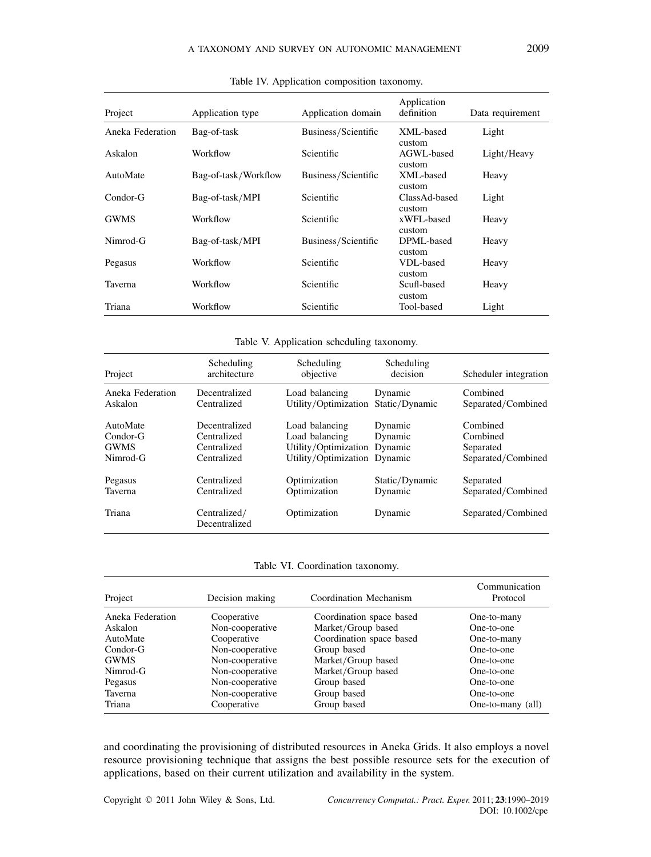| Project          | Application type     | Application domain  | Application<br>definition         | Data requirement |
|------------------|----------------------|---------------------|-----------------------------------|------------------|
| Aneka Federation | Bag-of-task          | Business/Scientific | XML-based                         | Light            |
| Askalon          | Workflow             | Scientific          | custom<br>AGWL-based<br>custom    | Light/Heavy      |
| AutoMate         | Bag-of-task/Workflow | Business/Scientific | XML-based                         | Heavy            |
| $Condor-G$       | Bag-of-task/MPI      | Scientific          | custom<br>ClassAd-based<br>custom | Light            |
| <b>GWMS</b>      | Workflow             | Scientific          | xWFL-based<br>custom              | Heavy            |
| Nimrod-G         | Bag-of-task/MPI      | Business/Scientific | DPML-based<br>custom              | Heavy            |
| Pegasus          | Workflow             | Scientific          | VDL-based                         | Heavy            |
| Taverna          | Workflow             | Scientific          | custom<br>Scufl-based<br>custom   | Heavy            |
| Triana           | Workflow             | Scientific          | Tool-based                        | Light            |

| Table IV. Application composition taxonomy. |  |  |
|---------------------------------------------|--|--|
|---------------------------------------------|--|--|

Table V. Application scheduling taxonomy.

| Project                                         | Scheduling<br>architecture                                 | Scheduling<br>objective                                                                          | Scheduling<br>decision    | Scheduler integration                                   |
|-------------------------------------------------|------------------------------------------------------------|--------------------------------------------------------------------------------------------------|---------------------------|---------------------------------------------------------|
| Aneka Federation<br>Askalon                     | Decentralized<br>Centralized                               | Load balancing<br>Utility/Optimization                                                           | Dynamic<br>Static/Dynamic | Combined<br>Separated/Combined                          |
| AutoMate<br>Condor-G<br><b>GWMS</b><br>Nimrod-G | Decentralized<br>Centralized<br>Centralized<br>Centralized | Load balancing<br>Load balancing<br>Utility/Optimization Dynamic<br>Utility/Optimization Dynamic | Dynamic<br>Dynamic        | Combined<br>Combined<br>Separated<br>Separated/Combined |
| Pegasus<br>Taverna                              | Centralized<br>Centralized                                 | Optimization<br>Optimization                                                                     | Static/Dynamic<br>Dynamic | Separated<br>Separated/Combined                         |
| Triana                                          | Centralized/<br>Decentralized                              | Optimization                                                                                     | Dynamic                   | Separated/Combined                                      |

Table VI. Coordination taxonomy.

| Project          | Decision making | Coordination Mechanism   | Communication<br>Protocol |
|------------------|-----------------|--------------------------|---------------------------|
| Aneka Federation | Cooperative     | Coordination space based | One-to-many               |
| Askalon          | Non-cooperative | Market/Group based       | One-to-one                |
| AutoMate         | Cooperative     | Coordination space based | One-to-many               |
| Condor-G         | Non-cooperative | Group based              | One-to-one                |
| <b>GWMS</b>      | Non-cooperative | Market/Group based       | One-to-one                |
| Nimrod-G         | Non-cooperative | Market/Group based       | One-to-one                |
| Pegasus          | Non-cooperative | Group based              | One-to-one                |
| Taverna          | Non-cooperative | Group based              | One-to-one                |
| Triana           | Cooperative     | Group based              | One-to-many (all)         |

and coordinating the provisioning of distributed resources in Aneka Grids. It also employs a novel resource provisioning technique that assigns the best possible resource sets for the execution of applications, based on their current utilization and availability in the system.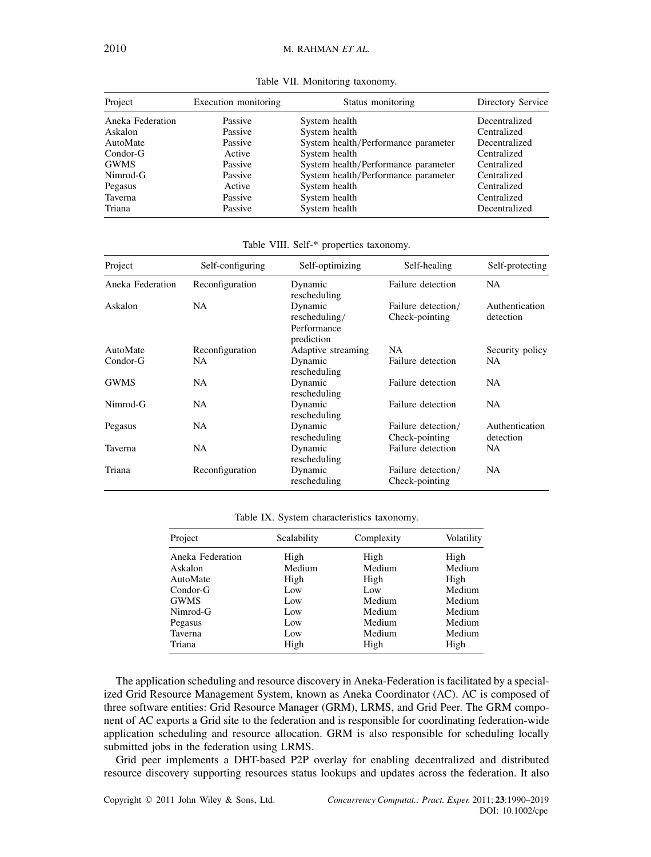| Project          | Execution monitoring | Status monitoring                   | Directory Service |
|------------------|----------------------|-------------------------------------|-------------------|
| Aneka Federation | Passive              | System health                       | Decentralized     |
| Askalon          | Passive              | System health                       | Centralized       |
| AutoMate         | Passive              | System health/Performance parameter | Decentralized     |
| Condor-G         | Active               | System health                       | Centralized       |
| <b>GWMS</b>      | Passive              | System health/Performance parameter | Centralized       |
| Nimrod-G         | Passive              | System health/Performance parameter | Centralized       |
| Pegasus          | Active               | System health                       | Centralized       |
| Taverna          | Passive              | System health                       | Centralized       |
| Triana           | Passive              | System health                       | Decentralized     |

Table VII. Monitoring taxonomy.

Table VIII. Self-\* properties taxonomy.

| Project          | Self-configuring | Self-optimizing                                       | Self-healing                         | Self-protecting             |
|------------------|------------------|-------------------------------------------------------|--------------------------------------|-----------------------------|
| Aneka Federation | Reconfiguration  | Dynamic<br>rescheduling                               | Failure detection                    | NA.                         |
| Askalon          | NA               | Dynamic<br>rescheduling/<br>Performance<br>prediction | Failure detection/<br>Check-pointing | Authentication<br>detection |
| AutoMate         | Reconfiguration  | Adaptive streaming                                    | NA.                                  | Security policy             |
| Condor-G         | NA               | Dynamic<br>rescheduling                               | Failure detection                    | NA.                         |
| <b>GWMS</b>      | NA.              | Dynamic<br>rescheduling                               | Failure detection                    | NA.                         |
| Nimrod-G         | NA               | Dynamic<br>rescheduling                               | Failure detection                    | NA.                         |
| Pegasus          | NA               | Dynamic<br>rescheduling                               | Failure detection/<br>Check-pointing | Authentication<br>detection |
| <b>Taverna</b>   | NA               | Dynamic<br>rescheduling                               | Failure detection                    | NA.                         |
| Triana           | Reconfiguration  | Dynamic<br>rescheduling                               | Failure detection/<br>Check-pointing | NA.                         |

#### Table IX. System characteristics taxonomy.

| Project          | Scalability | Complexity | Volatility |
|------------------|-------------|------------|------------|
| Aneka Federation | High        | High       | High       |
| Askalon          | Medium      | Medium     | Medium     |
| AutoMate         | High        | High       | High       |
| Condor-G         | Low         | Low        | Medium     |
| <b>GWMS</b>      | Low         | Medium     | Medium     |
| Nimrod-G         | Low         | Medium     | Medium     |
| Pegasus          | Low         | Medium     | Medium     |
| Taverna          | Low         | Medium     | Medium     |
| Triana           | High        | High       | High       |

The application scheduling and resource discovery in Aneka-Federation is facilitated by a specialized Grid Resource Management System, known as Aneka Coordinator (AC). AC is composed of three software entities: Grid Resource Manager (GRM), LRMS, and Grid Peer. The GRM component of AC exports a Grid site to the federation and is responsible for coordinating federation-wide application scheduling and resource allocation. GRM is also responsible for scheduling locally submitted jobs in the federation using LRMS.

Grid peer implements a DHT-based P2P overlay for enabling decentralized and distributed resource discovery supporting resources status lookups and updates across the federation. It also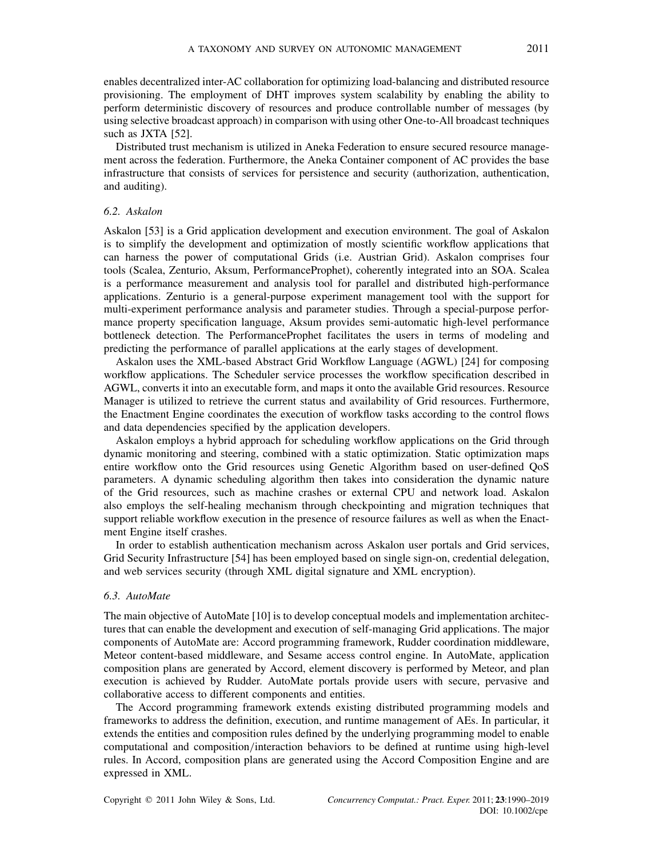enables decentralized inter-AC collaboration for optimizing load-balancing and distributed resource provisioning. The employment of DHT improves system scalability by enabling the ability to perform deterministic discovery of resources and produce controllable number of messages (by using selective broadcast approach) in comparison with using other One-to-All broadcast techniques such as JXTA [52].

Distributed trust mechanism is utilized in Aneka Federation to ensure secured resource management across the federation. Furthermore, the Aneka Container component of AC provides the base infrastructure that consists of services for persistence and security (authorization, authentication, and auditing).

### *6.2. Askalon*

Askalon [53] is a Grid application development and execution environment. The goal of Askalon is to simplify the development and optimization of mostly scientific workflow applications that can harness the power of computational Grids (i.e. Austrian Grid). Askalon comprises four tools (Scalea, Zenturio, Aksum, PerformanceProphet), coherently integrated into an SOA. Scalea is a performance measurement and analysis tool for parallel and distributed high-performance applications. Zenturio is a general-purpose experiment management tool with the support for multi-experiment performance analysis and parameter studies. Through a special-purpose performance property specification language, Aksum provides semi-automatic high-level performance bottleneck detection. The PerformanceProphet facilitates the users in terms of modeling and predicting the performance of parallel applications at the early stages of development.

Askalon uses the XML-based Abstract Grid Workflow Language (AGWL) [24] for composing workflow applications. The Scheduler service processes the workflow specification described in AGWL, converts it into an executable form, and maps it onto the available Grid resources. Resource Manager is utilized to retrieve the current status and availability of Grid resources. Furthermore, the Enactment Engine coordinates the execution of workflow tasks according to the control flows and data dependencies specified by the application developers.

Askalon employs a hybrid approach for scheduling workflow applications on the Grid through dynamic monitoring and steering, combined with a static optimization. Static optimization maps entire workflow onto the Grid resources using Genetic Algorithm based on user-defined QoS parameters. A dynamic scheduling algorithm then takes into consideration the dynamic nature of the Grid resources, such as machine crashes or external CPU and network load. Askalon also employs the self-healing mechanism through checkpointing and migration techniques that support reliable workflow execution in the presence of resource failures as well as when the Enactment Engine itself crashes.

In order to establish authentication mechanism across Askalon user portals and Grid services, Grid Security Infrastructure [54] has been employed based on single sign-on, credential delegation, and web services security (through XML digital signature and XML encryption).

#### *6.3. AutoMate*

The main objective of AutoMate [10] is to develop conceptual models and implementation architectures that can enable the development and execution of self-managing Grid applications. The major components of AutoMate are: Accord programming framework, Rudder coordination middleware, Meteor content-based middleware, and Sesame access control engine. In AutoMate, application composition plans are generated by Accord, element discovery is performed by Meteor, and plan execution is achieved by Rudder. AutoMate portals provide users with secure, pervasive and collaborative access to different components and entities.

The Accord programming framework extends existing distributed programming models and frameworks to address the definition, execution, and runtime management of AEs. In particular, it extends the entities and composition rules defined by the underlying programming model to enable computational and composition*/*interaction behaviors to be defined at runtime using high-level rules. In Accord, composition plans are generated using the Accord Composition Engine and are expressed in XML.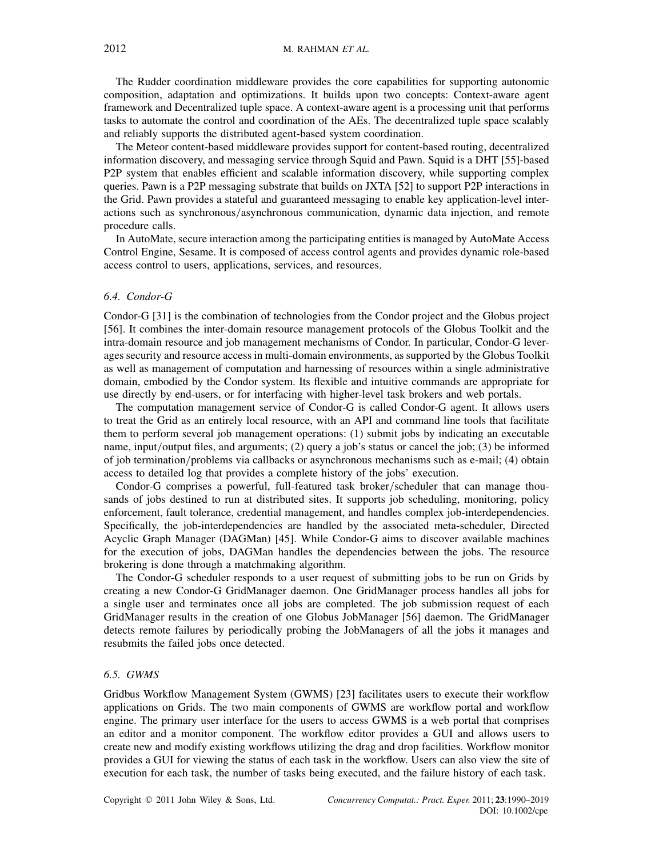The Rudder coordination middleware provides the core capabilities for supporting autonomic composition, adaptation and optimizations. It builds upon two concepts: Context-aware agent framework and Decentralized tuple space. A context-aware agent is a processing unit that performs tasks to automate the control and coordination of the AEs. The decentralized tuple space scalably and reliably supports the distributed agent-based system coordination.

The Meteor content-based middleware provides support for content-based routing, decentralized information discovery, and messaging service through Squid and Pawn. Squid is a DHT [55]-based P2P system that enables efficient and scalable information discovery, while supporting complex queries. Pawn is a P2P messaging substrate that builds on JXTA [52] to support P2P interactions in the Grid. Pawn provides a stateful and guaranteed messaging to enable key application-level interactions such as synchronous*/*asynchronous communication, dynamic data injection, and remote procedure calls.

In AutoMate, secure interaction among the participating entities is managed by AutoMate Access Control Engine, Sesame. It is composed of access control agents and provides dynamic role-based access control to users, applications, services, and resources.

### *6.4. Condor-G*

Condor-G [31] is the combination of technologies from the Condor project and the Globus project [56]. It combines the inter-domain resource management protocols of the Globus Toolkit and the intra-domain resource and job management mechanisms of Condor. In particular, Condor-G leverages security and resource access in multi-domain environments, as supported by the Globus Toolkit as well as management of computation and harnessing of resources within a single administrative domain, embodied by the Condor system. Its flexible and intuitive commands are appropriate for use directly by end-users, or for interfacing with higher-level task brokers and web portals.

The computation management service of Condor-G is called Condor-G agent. It allows users to treat the Grid as an entirely local resource, with an API and command line tools that facilitate them to perform several job management operations: (1) submit jobs by indicating an executable name, input*/*output files, and arguments; (2) query a job's status or cancel the job; (3) be informed of job termination*/*problems via callbacks or asynchronous mechanisms such as e-mail; (4) obtain access to detailed log that provides a complete history of the jobs' execution.

Condor-G comprises a powerful, full-featured task broker*/*scheduler that can manage thousands of jobs destined to run at distributed sites. It supports job scheduling, monitoring, policy enforcement, fault tolerance, credential management, and handles complex job-interdependencies. Specifically, the job-interdependencies are handled by the associated meta-scheduler, Directed Acyclic Graph Manager (DAGMan) [45]. While Condor-G aims to discover available machines for the execution of jobs, DAGMan handles the dependencies between the jobs. The resource brokering is done through a matchmaking algorithm.

The Condor-G scheduler responds to a user request of submitting jobs to be run on Grids by creating a new Condor-G GridManager daemon. One GridManager process handles all jobs for a single user and terminates once all jobs are completed. The job submission request of each GridManager results in the creation of one Globus JobManager [56] daemon. The GridManager detects remote failures by periodically probing the JobManagers of all the jobs it manages and resubmits the failed jobs once detected.

#### *6.5. GWMS*

Gridbus Workflow Management System (GWMS) [23] facilitates users to execute their workflow applications on Grids. The two main components of GWMS are workflow portal and workflow engine. The primary user interface for the users to access GWMS is a web portal that comprises an editor and a monitor component. The workflow editor provides a GUI and allows users to create new and modify existing workflows utilizing the drag and drop facilities. Workflow monitor provides a GUI for viewing the status of each task in the workflow. Users can also view the site of execution for each task, the number of tasks being executed, and the failure history of each task.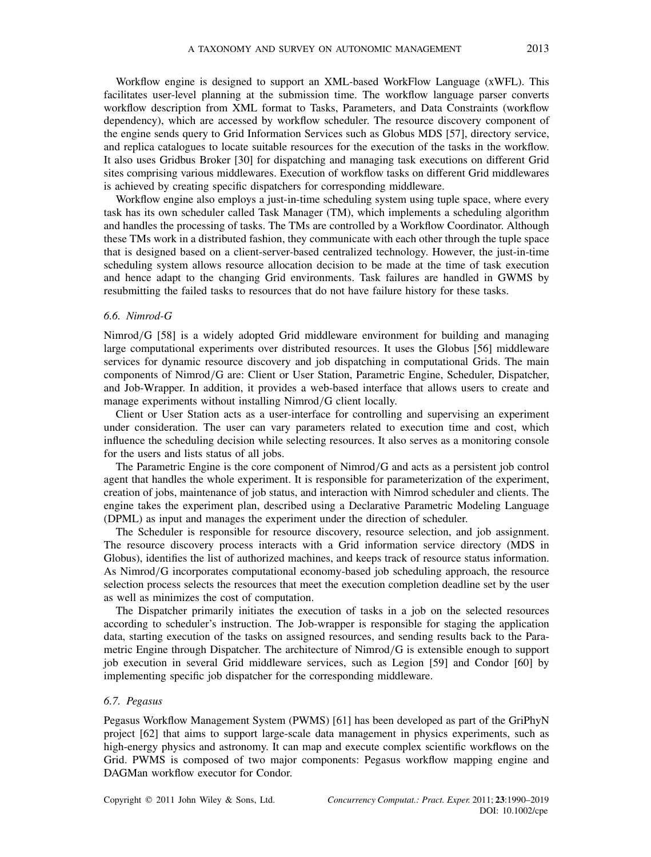Workflow engine is designed to support an XML-based WorkFlow Language (xWFL). This facilitates user-level planning at the submission time. The workflow language parser converts workflow description from XML format to Tasks, Parameters, and Data Constraints (workflow dependency), which are accessed by workflow scheduler. The resource discovery component of the engine sends query to Grid Information Services such as Globus MDS [57], directory service, and replica catalogues to locate suitable resources for the execution of the tasks in the workflow. It also uses Gridbus Broker [30] for dispatching and managing task executions on different Grid sites comprising various middlewares. Execution of workflow tasks on different Grid middlewares is achieved by creating specific dispatchers for corresponding middleware.

Workflow engine also employs a just-in-time scheduling system using tuple space, where every task has its own scheduler called Task Manager (TM), which implements a scheduling algorithm and handles the processing of tasks. The TMs are controlled by a Workflow Coordinator. Although these TMs work in a distributed fashion, they communicate with each other through the tuple space that is designed based on a client-server-based centralized technology. However, the just-in-time scheduling system allows resource allocation decision to be made at the time of task execution and hence adapt to the changing Grid environments. Task failures are handled in GWMS by resubmitting the failed tasks to resources that do not have failure history for these tasks.

#### *6.6. Nimrod-G*

Nimrod*/*G [58] is a widely adopted Grid middleware environment for building and managing large computational experiments over distributed resources. It uses the Globus [56] middleware services for dynamic resource discovery and job dispatching in computational Grids. The main components of Nimrod*/*G are: Client or User Station, Parametric Engine, Scheduler, Dispatcher, and Job-Wrapper. In addition, it provides a web-based interface that allows users to create and manage experiments without installing Nimrod*/*G client locally.

Client or User Station acts as a user-interface for controlling and supervising an experiment under consideration. The user can vary parameters related to execution time and cost, which influence the scheduling decision while selecting resources. It also serves as a monitoring console for the users and lists status of all jobs.

The Parametric Engine is the core component of Nimrod*/*G and acts as a persistent job control agent that handles the whole experiment. It is responsible for parameterization of the experiment, creation of jobs, maintenance of job status, and interaction with Nimrod scheduler and clients. The engine takes the experiment plan, described using a Declarative Parametric Modeling Language (DPML) as input and manages the experiment under the direction of scheduler.

The Scheduler is responsible for resource discovery, resource selection, and job assignment. The resource discovery process interacts with a Grid information service directory (MDS in Globus), identifies the list of authorized machines, and keeps track of resource status information. As Nimrod*/*G incorporates computational economy-based job scheduling approach, the resource selection process selects the resources that meet the execution completion deadline set by the user as well as minimizes the cost of computation.

The Dispatcher primarily initiates the execution of tasks in a job on the selected resources according to scheduler's instruction. The Job-wrapper is responsible for staging the application data, starting execution of the tasks on assigned resources, and sending results back to the Parametric Engine through Dispatcher. The architecture of Nimrod*/*G is extensible enough to support job execution in several Grid middleware services, such as Legion [59] and Condor [60] by implementing specific job dispatcher for the corresponding middleware.

#### *6.7. Pegasus*

Pegasus Workflow Management System (PWMS) [61] has been developed as part of the GriPhyN project [62] that aims to support large-scale data management in physics experiments, such as high-energy physics and astronomy. It can map and execute complex scientific workflows on the Grid. PWMS is composed of two major components: Pegasus workflow mapping engine and DAGMan workflow executor for Condor.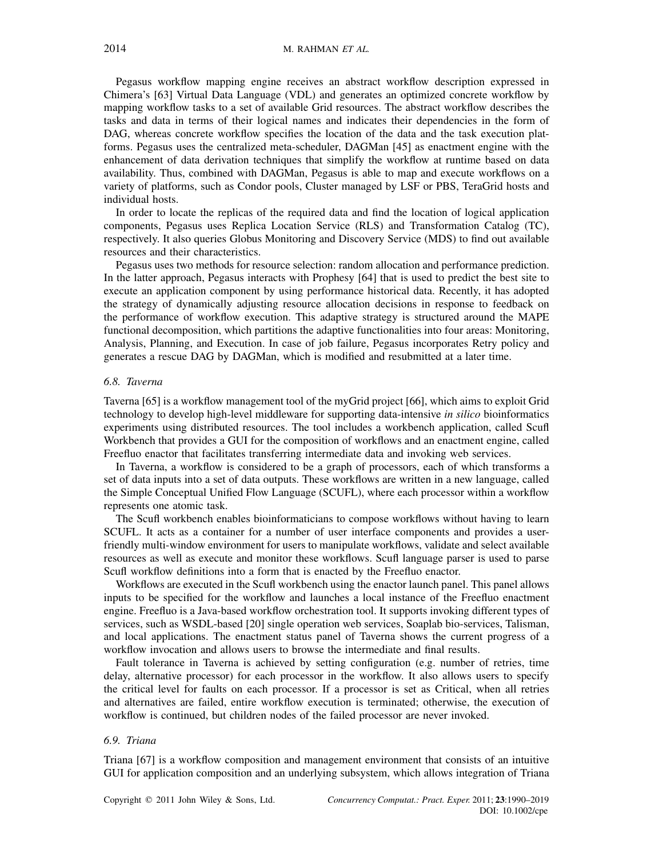Pegasus workflow mapping engine receives an abstract workflow description expressed in Chimera's [63] Virtual Data Language (VDL) and generates an optimized concrete workflow by mapping workflow tasks to a set of available Grid resources. The abstract workflow describes the tasks and data in terms of their logical names and indicates their dependencies in the form of DAG, whereas concrete workflow specifies the location of the data and the task execution platforms. Pegasus uses the centralized meta-scheduler, DAGMan [45] as enactment engine with the enhancement of data derivation techniques that simplify the workflow at runtime based on data availability. Thus, combined with DAGMan, Pegasus is able to map and execute workflows on a variety of platforms, such as Condor pools, Cluster managed by LSF or PBS, TeraGrid hosts and individual hosts.

In order to locate the replicas of the required data and find the location of logical application components, Pegasus uses Replica Location Service (RLS) and Transformation Catalog (TC), respectively. It also queries Globus Monitoring and Discovery Service (MDS) to find out available resources and their characteristics.

Pegasus uses two methods for resource selection: random allocation and performance prediction. In the latter approach, Pegasus interacts with Prophesy [64] that is used to predict the best site to execute an application component by using performance historical data. Recently, it has adopted the strategy of dynamically adjusting resource allocation decisions in response to feedback on the performance of workflow execution. This adaptive strategy is structured around the MAPE functional decomposition, which partitions the adaptive functionalities into four areas: Monitoring, Analysis, Planning, and Execution. In case of job failure, Pegasus incorporates Retry policy and generates a rescue DAG by DAGMan, which is modified and resubmitted at a later time.

### *6.8. Taverna*

Taverna [65] is a workflow management tool of the myGrid project [66], which aims to exploit Grid technology to develop high-level middleware for supporting data-intensive *in silico* bioinformatics experiments using distributed resources. The tool includes a workbench application, called Scufl Workbench that provides a GUI for the composition of workflows and an enactment engine, called Freefluo enactor that facilitates transferring intermediate data and invoking web services.

In Taverna, a workflow is considered to be a graph of processors, each of which transforms a set of data inputs into a set of data outputs. These workflows are written in a new language, called the Simple Conceptual Unified Flow Language (SCUFL), where each processor within a workflow represents one atomic task.

The Scufl workbench enables bioinformaticians to compose workflows without having to learn SCUFL. It acts as a container for a number of user interface components and provides a userfriendly multi-window environment for users to manipulate workflows, validate and select available resources as well as execute and monitor these workflows. Scufl language parser is used to parse Scufl workflow definitions into a form that is enacted by the Freefluo enactor.

Workflows are executed in the Scufl workbench using the enactor launch panel. This panel allows inputs to be specified for the workflow and launches a local instance of the Freefluo enactment engine. Freefluo is a Java-based workflow orchestration tool. It supports invoking different types of services, such as WSDL-based [20] single operation web services, Soaplab bio-services, Talisman, and local applications. The enactment status panel of Taverna shows the current progress of a workflow invocation and allows users to browse the intermediate and final results.

Fault tolerance in Taverna is achieved by setting configuration (e.g. number of retries, time delay, alternative processor) for each processor in the workflow. It also allows users to specify the critical level for faults on each processor. If a processor is set as Critical, when all retries and alternatives are failed, entire workflow execution is terminated; otherwise, the execution of workflow is continued, but children nodes of the failed processor are never invoked.

#### *6.9. Triana*

Triana [67] is a workflow composition and management environment that consists of an intuitive GUI for application composition and an underlying subsystem, which allows integration of Triana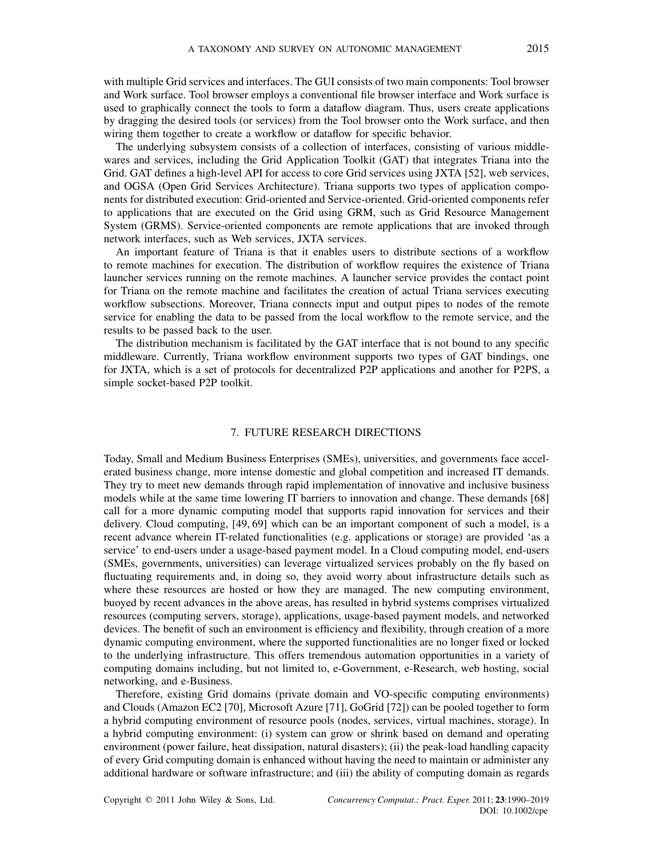with multiple Grid services and interfaces. The GUI consists of two main components: Tool browser and Work surface. Tool browser employs a conventional file browser interface and Work surface is used to graphically connect the tools to form a dataflow diagram. Thus, users create applications by dragging the desired tools (or services) from the Tool browser onto the Work surface, and then wiring them together to create a workflow or dataflow for specific behavior.

The underlying subsystem consists of a collection of interfaces, consisting of various middlewares and services, including the Grid Application Toolkit (GAT) that integrates Triana into the Grid. GAT defines a high-level API for access to core Grid services using JXTA [52], web services, and OGSA (Open Grid Services Architecture). Triana supports two types of application components for distributed execution: Grid-oriented and Service-oriented. Grid-oriented components refer to applications that are executed on the Grid using GRM, such as Grid Resource Management System (GRMS). Service-oriented components are remote applications that are invoked through network interfaces, such as Web services, JXTA services.

An important feature of Triana is that it enables users to distribute sections of a workflow to remote machines for execution. The distribution of workflow requires the existence of Triana launcher services running on the remote machines. A launcher service provides the contact point for Triana on the remote machine and facilitates the creation of actual Triana services executing workflow subsections. Moreover, Triana connects input and output pipes to nodes of the remote service for enabling the data to be passed from the local workflow to the remote service, and the results to be passed back to the user.

The distribution mechanism is facilitated by the GAT interface that is not bound to any specific middleware. Currently, Triana workflow environment supports two types of GAT bindings, one for JXTA, which is a set of protocols for decentralized P2P applications and another for P2PS, a simple socket-based P2P toolkit.

### 7. FUTURE RESEARCH DIRECTIONS

Today, Small and Medium Business Enterprises (SMEs), universities, and governments face accelerated business change, more intense domestic and global competition and increased IT demands. They try to meet new demands through rapid implementation of innovative and inclusive business models while at the same time lowering IT barriers to innovation and change. These demands [68] call for a more dynamic computing model that supports rapid innovation for services and their delivery. Cloud computing, [49, 69] which can be an important component of such a model, is a recent advance wherein IT-related functionalities (e.g. applications or storage) are provided 'as a service' to end-users under a usage-based payment model. In a Cloud computing model, end-users (SMEs, governments, universities) can leverage virtualized services probably on the fly based on fluctuating requirements and, in doing so, they avoid worry about infrastructure details such as where these resources are hosted or how they are managed. The new computing environment, buoyed by recent advances in the above areas, has resulted in hybrid systems comprises virtualized resources (computing servers, storage), applications, usage-based payment models, and networked devices. The benefit of such an environment is efficiency and flexibility, through creation of a more dynamic computing environment, where the supported functionalities are no longer fixed or locked to the underlying infrastructure. This offers tremendous automation opportunities in a variety of computing domains including, but not limited to, e-Government, e-Research, web hosting, social networking, and e-Business.

Therefore, existing Grid domains (private domain and VO-specific computing environments) and Clouds (Amazon EC2 [70], Microsoft Azure [71], GoGrid [72]) can be pooled together to form a hybrid computing environment of resource pools (nodes, services, virtual machines, storage). In a hybrid computing environment: (i) system can grow or shrink based on demand and operating environment (power failure, heat dissipation, natural disasters); (ii) the peak-load handling capacity of every Grid computing domain is enhanced without having the need to maintain or administer any additional hardware or software infrastructure; and (iii) the ability of computing domain as regards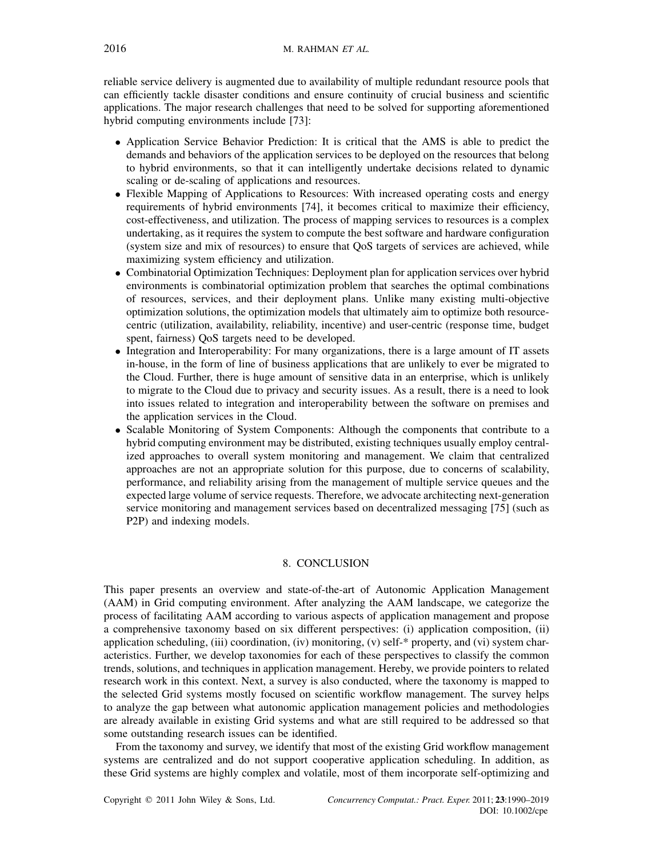reliable service delivery is augmented due to availability of multiple redundant resource pools that can efficiently tackle disaster conditions and ensure continuity of crucial business and scientific applications. The major research challenges that need to be solved for supporting aforementioned hybrid computing environments include [73]:

- Application Service Behavior Prediction: It is critical that the AMS is able to predict the demands and behaviors of the application services to be deployed on the resources that belong to hybrid environments, so that it can intelligently undertake decisions related to dynamic scaling or de-scaling of applications and resources.
- Flexible Mapping of Applications to Resources: With increased operating costs and energy requirements of hybrid environments [74], it becomes critical to maximize their efficiency, cost-effectiveness, and utilization. The process of mapping services to resources is a complex undertaking, as it requires the system to compute the best software and hardware configuration (system size and mix of resources) to ensure that QoS targets of services are achieved, while maximizing system efficiency and utilization.
- Combinatorial Optimization Techniques: Deployment plan for application services over hybrid environments is combinatorial optimization problem that searches the optimal combinations of resources, services, and their deployment plans. Unlike many existing multi-objective optimization solutions, the optimization models that ultimately aim to optimize both resourcecentric (utilization, availability, reliability, incentive) and user-centric (response time, budget spent, fairness) QoS targets need to be developed.
- Integration and Interoperability: For many organizations, there is a large amount of IT assets in-house, in the form of line of business applications that are unlikely to ever be migrated to the Cloud. Further, there is huge amount of sensitive data in an enterprise, which is unlikely to migrate to the Cloud due to privacy and security issues. As a result, there is a need to look into issues related to integration and interoperability between the software on premises and the application services in the Cloud.
- Scalable Monitoring of System Components: Although the components that contribute to a hybrid computing environment may be distributed, existing techniques usually employ centralized approaches to overall system monitoring and management. We claim that centralized approaches are not an appropriate solution for this purpose, due to concerns of scalability, performance, and reliability arising from the management of multiple service queues and the expected large volume of service requests. Therefore, we advocate architecting next-generation service monitoring and management services based on decentralized messaging [75] (such as P2P) and indexing models.

### 8. CONCLUSION

This paper presents an overview and state-of-the-art of Autonomic Application Management (AAM) in Grid computing environment. After analyzing the AAM landscape, we categorize the process of facilitating AAM according to various aspects of application management and propose a comprehensive taxonomy based on six different perspectives: (i) application composition, (ii) application scheduling, (iii) coordination, (iv) monitoring, (v) self-\* property, and (vi) system characteristics. Further, we develop taxonomies for each of these perspectives to classify the common trends, solutions, and techniques in application management. Hereby, we provide pointers to related research work in this context. Next, a survey is also conducted, where the taxonomy is mapped to the selected Grid systems mostly focused on scientific workflow management. The survey helps to analyze the gap between what autonomic application management policies and methodologies are already available in existing Grid systems and what are still required to be addressed so that some outstanding research issues can be identified.

From the taxonomy and survey, we identify that most of the existing Grid workflow management systems are centralized and do not support cooperative application scheduling. In addition, as these Grid systems are highly complex and volatile, most of them incorporate self-optimizing and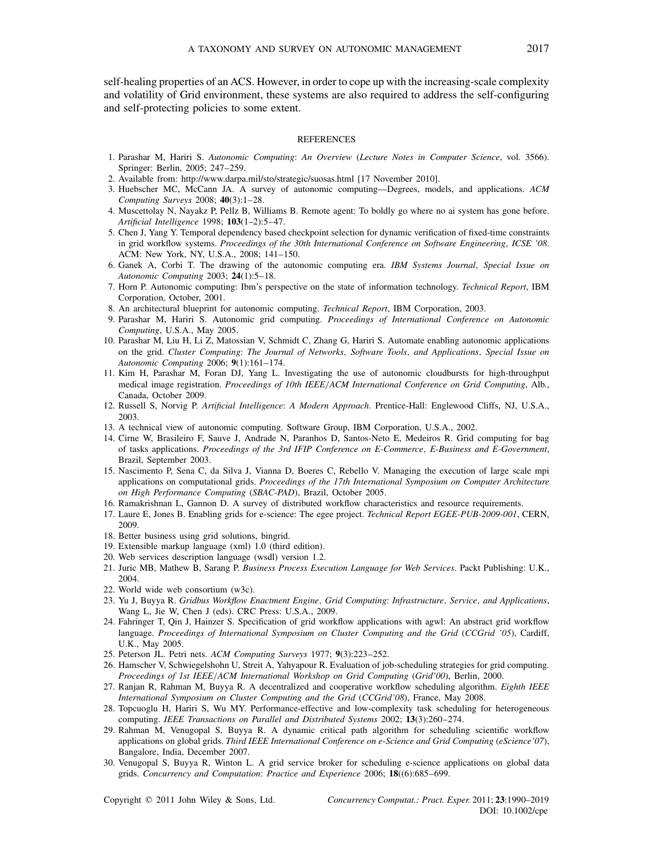self-healing properties of an ACS. However, in order to cope up with the increasing-scale complexity and volatility of Grid environment, these systems are also required to address the self-configuring and self-protecting policies to some extent.

#### **REFERENCES**

- 1. Parashar M, Hariri S. *Autonomic Computing*: *An Overview* (*Lecture Notes in Computer Science*, vol. 3566). Springer: Berlin, 2005; 247–259.
- 2. Available from: http://www.darpa.mil/sto/strategic/suosas.html [17 November 2010].
- 3. Huebscher MC, McCann JA. A survey of autonomic computing—Degrees, models, and applications. *ACM Computing Surveys* 2008; **40**(3):1–28.
- 4. Muscettolay N, Nayakz P, Pellz B, Williams B. Remote agent: To boldly go where no ai system has gone before. *Artificial Intelligence* 1998; **103**(1–2):5–47.
- 5. Chen J, Yang Y. Temporal dependency based checkpoint selection for dynamic verification of fixed-time constraints in grid workflow systems. *Proceedings of the 30th International Conference on Software Engineering, ICSE '08*. ACM: New York, NY, U.S.A., 2008; 141–150.
- 6. Ganek A, Corbi T. The drawing of the autonomic computing era. *IBM Systems Journal, Special Issue on Autonomic Computing* 2003; **24**(1):5–18.
- 7. Horn P. Autonomic computing: Ibm's perspective on the state of information technology. *Technical Report*, IBM Corporation, October, 2001.
- 8. An architectural blueprint for autonomic computing. *Technical Report*, IBM Corporation, 2003.
- 9. Parashar M, Hariri S. Autonomic grid computing. *Proceedings of International Conference on Autonomic Computing*, U.S.A., May 2005.
- 10. Parashar M, Liu H, Li Z, Matossian V, Schmidt C, Zhang G, Hariri S. Automate enabling autonomic applications on the grid. *Cluster Computing*: *The Journal of Networks, Software Tools, and Applications, Special Issue on Autonomic Computing* 2006; **9**(1):161–174.
- 11. Kim H, Parashar M, Foran DJ, Yang L. Investigating the use of autonomic cloudbursts for high-throughput medical image registration. *Proceedings of 10th IEEE/ACM International Conference on Grid Computing*, Alb., Canada, October 2009.
- 12. Russell S, Norvig P. *Artificial Intelligence*: *A Modern Approach*. Prentice-Hall: Englewood Cliffs, NJ, U.S.A., 2003.
- 13. A technical view of autonomic computing. Software Group, IBM Corporation, U.S.A., 2002.
- 14. Cirne W, Brasileiro F, Sauve J, Andrade N, Paranhos D, Santos-Neto E, Medeiros R. Grid computing for bag of tasks applications. *Proceedings of the 3rd IFIP Conference on E-Commerce, E-Business and E-Government*, Brazil, September 2003.
- 15. Nascimento P, Sena C, da Silva J, Vianna D, Boeres C, Rebello V. Managing the execution of large scale mpi applications on computational grids. *Proceedings of the 17th International Symposium on Computer Architecture on High Performance Computing* (*SBAC-PAD*), Brazil, October 2005.
- 16. Ramakrishnan L, Gannon D. A survey of distributed workflow characteristics and resource requirements.
- 17. Laure E, Jones B. Enabling grids for e-science: The egee project. *Technical Report EGEE-PUB-2009-001*, CERN, 2009.
- 18. Better business using grid solutions, bingrid.
- 19. Extensible markup language (xml) 1.0 (third edition).
- 20. Web services description language (wsdl) version 1.2.
- 21. Juric MB, Mathew B, Sarang P. *Business Process Execution Language for Web Services*. Packt Publishing: U.K., 2004.
- 22. World wide web consortium (w3c).
- 23. Yu J, Buyya R. *Gridbus Workflow Enactment Engine, Grid Computing*: *Infrastructure, Service, and Applications*, Wang L, Jie W, Chen J (eds). CRC Press: U.S.A., 2009.
- 24. Fahringer T, Qin J, Hainzer S. Specification of grid workflow applications with agwl: An abstract grid workflow language. *Proceedings of International Symposium on Cluster Computing and the Grid* (*CCGrid '05*), Cardiff, U.K., May 2005.
- 25. Peterson JL. Petri nets. *ACM Computing Surveys* 1977; **9**(3):223–252.
- 26. Hamscher V, Schwiegelshohn U, Streit A, Yahyapour R. Evaluation of job-scheduling strategies for grid computing. *Proceedings of 1st IEEE/ACM International Workshop on Grid Computing* (*Grid'00*), Berlin, 2000.
- 27. Ranjan R, Rahman M, Buyya R. A decentralized and cooperative workflow scheduling algorithm. *Eighth IEEE International Symposium on Cluster Computing and the Grid* (*CCGrid'08*), France, May 2008.
- 28. Topcuoglu H, Hariri S, Wu MY. Performance-effective and low-complexity task scheduling for heterogeneous computing. *IEEE Transactions on Parallel and Distributed Systems* 2002; **13**(3):260–274.
- 29. Rahman M, Venugopal S, Buyya R. A dynamic critical path algorithm for scheduling scientific workflow applications on global grids. *Third IEEE International Conference on e-Science and Grid Computing* (*eScience'07*), Bangalore, India, December 2007.
- 30. Venugopal S, Buyya R, Winton L. A grid service broker for scheduling e-science applications on global data grids. *Concurrency and Computation*: *Practice and Experience* 2006; **18**((6):685–699.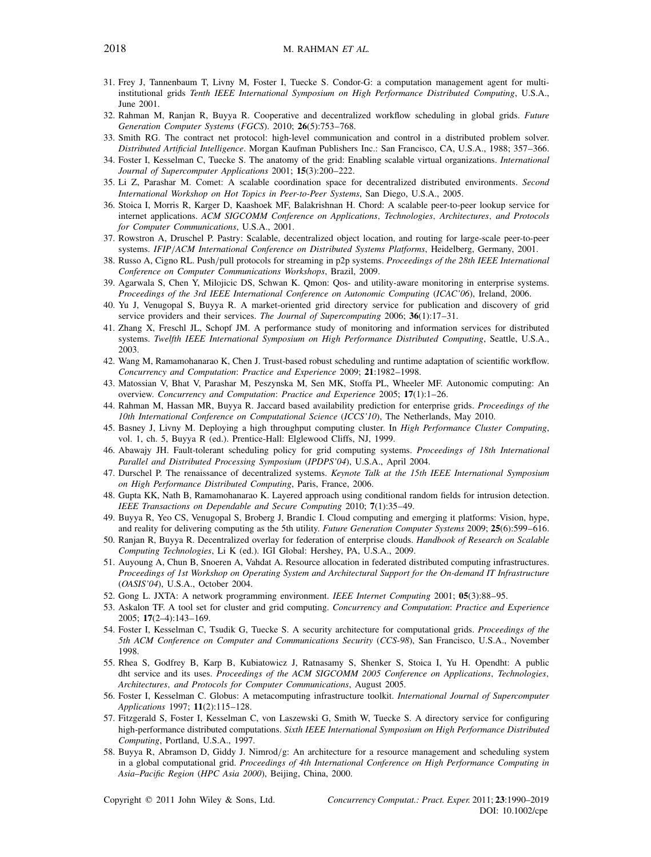- 31. Frey J, Tannenbaum T, Livny M, Foster I, Tuecke S. Condor-G: a computation management agent for multiinstitutional grids *Tenth IEEE International Symposium on High Performance Distributed Computing*, U.S.A., June 2001.
- 32. Rahman M, Ranjan R, Buyya R. Cooperative and decentralized workflow scheduling in global grids. *Future Generation Computer Systems* (*FGCS*). 2010; **26**(5):753–768.
- 33. Smith RG. The contract net protocol: high-level communication and control in a distributed problem solver. *Distributed Artificial Intelligence*. Morgan Kaufman Publishers Inc.: San Francisco, CA, U.S.A., 1988; 357–366.
- 34. Foster I, Kesselman C, Tuecke S. The anatomy of the grid: Enabling scalable virtual organizations. *International Journal of Supercomputer Applications* 2001; **15**(3):200–222.
- 35. Li Z, Parashar M. Comet: A scalable coordination space for decentralized distributed environments. *Second International Workshop on Hot Topics in Peer-to-Peer Systems*, San Diego, U.S.A., 2005.
- 36. Stoica I, Morris R, Karger D, Kaashoek MF, Balakrishnan H. Chord: A scalable peer-to-peer lookup service for internet applications. *ACM SIGCOMM Conference on Applications, Technologies, Architectures, and Protocols for Computer Communications*, U.S.A., 2001.
- 37. Rowstron A, Druschel P. Pastry: Scalable, decentralized object location, and routing for large-scale peer-to-peer systems. *IFIP/ACM International Conference on Distributed Systems Platforms*, Heidelberg, Germany, 2001.
- 38. Russo A, Cigno RL. Push*/*pull protocols for streaming in p2p systems. *Proceedings of the 28th IEEE International Conference on Computer Communications Workshops*, Brazil, 2009.
- 39. Agarwala S, Chen Y, Milojicic DS, Schwan K. Qmon: Qos- and utility-aware monitoring in enterprise systems. *Proceedings of the 3rd IEEE International Conference on Autonomic Computing* (*ICAC'06*), Ireland, 2006.
- 40. Yu J, Venugopal S, Buyya R. A market-oriented grid directory service for publication and discovery of grid service providers and their services. *The Journal of Supercomputing* 2006; **36**(1):17–31.
- 41. Zhang X, Freschl JL, Schopf JM. A performance study of monitoring and information services for distributed systems. *Twelfth IEEE International Symposium on High Performance Distributed Computing*, Seattle, U.S.A., 2003.
- 42. Wang M, Ramamohanarao K, Chen J. Trust-based robust scheduling and runtime adaptation of scientific workflow. *Concurrency and Computation*: *Practice and Experience* 2009; **21**:1982–1998.
- 43. Matossian V, Bhat V, Parashar M, Peszynska M, Sen MK, Stoffa PL, Wheeler MF. Autonomic computing: An overview. *Concurrency and Computation*: *Practice and Experience* 2005; **17**(1):1–26.
- 44. Rahman M, Hassan MR, Buyya R. Jaccard based availability prediction for enterprise grids. *Proceedings of the 10th International Conference on Computational Science* (*ICCS'10*), The Netherlands, May 2010.
- 45. Basney J, Livny M. Deploying a high throughput computing cluster. In *High Performance Cluster Computing*, vol. 1, ch. 5, Buyya R (ed.). Prentice-Hall: Elglewood Cliffs, NJ, 1999.
- 46. Abawajy JH. Fault-tolerant scheduling policy for grid computing systems. *Proceedings of 18th International Parallel and Distributed Processing Symposium* (*IPDPS'04*), U.S.A., April 2004.
- 47. Durschel P. The renaissance of decentralized systems. *Keynote Talk at the 15th IEEE International Symposium on High Performance Distributed Computing*, Paris, France, 2006.
- 48. Gupta KK, Nath B, Ramamohanarao K. Layered approach using conditional random fields for intrusion detection. *IEEE Transactions on Dependable and Secure Computing* 2010; **7**(1):35–49.
- 49. Buyya R, Yeo CS, Venugopal S, Broberg J, Brandic I. Cloud computing and emerging it platforms: Vision, hype, and reality for delivering computing as the 5th utility. *Future Generation Computer Systems* 2009; **25**(6):599–616.
- 50. Ranjan R, Buyya R. Decentralized overlay for federation of enterprise clouds. *Handbook of Research on Scalable Computing Technologies*, Li K (ed.). IGI Global: Hershey, PA, U.S.A., 2009.
- 51. Auyoung A, Chun B, Snoeren A, Vahdat A. Resource allocation in federated distributed computing infrastructures. *Proceedings of 1st Workshop on Operating System and Architectural Support for the On-demand IT Infrastructure* (*OASIS'04*), U.S.A., October 2004.
- 52. Gong L. JXTA: A network programming environment. *IEEE Internet Computing* 2001; **05**(3):88–95.
- 53. Askalon TF. A tool set for cluster and grid computing. *Concurrency and Computation*: *Practice and Experience* 2005; **17**(2–4):143–169.
- 54. Foster I, Kesselman C, Tsudik G, Tuecke S. A security architecture for computational grids. *Proceedings of the 5th ACM Conference on Computer and Communications Security* (*CCS-98*), San Francisco, U.S.A., November 1998.
- 55. Rhea S, Godfrey B, Karp B, Kubiatowicz J, Ratnasamy S, Shenker S, Stoica I, Yu H. Opendht: A public dht service and its uses. *Proceedings of the ACM SIGCOMM 2005 Conference on Applications, Technologies, Architectures, and Protocols for Computer Communications*, August 2005.
- 56. Foster I, Kesselman C. Globus: A metacomputing infrastructure toolkit. *International Journal of Supercomputer Applications* 1997; **11**(2):115–128.
- 57. Fitzgerald S, Foster I, Kesselman C, von Laszewski G, Smith W, Tuecke S. A directory service for configuring high-performance distributed computations. *Sixth IEEE International Symposium on High Performance Distributed Computing*, Portland, U.S.A., 1997.
- 58. Buyya R, Abramson D, Giddy J. Nimrod*/*g: An architecture for a resource management and scheduling system in a global computational grid. *Proceedings of 4th International Conference on High Performance Computing in Asia–Pacific Region* (*HPC Asia 2000*), Beijing, China, 2000.